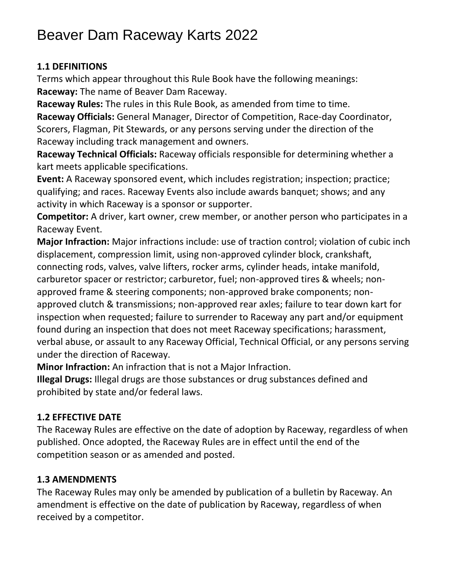# Beaver Dam Raceway Karts 2022

### **1.1 DEFINITIONS**

Terms which appear throughout this Rule Book have the following meanings: **Raceway:** The name of Beaver Dam Raceway.

**Raceway Rules:** The rules in this Rule Book, as amended from time to time.

**Raceway Officials:** General Manager, Director of Competition, Race-day Coordinator, Scorers, Flagman, Pit Stewards, or any persons serving under the direction of the Raceway including track management and owners.

**Raceway Technical Officials:** Raceway officials responsible for determining whether a kart meets applicable specifications.

**Event:** A Raceway sponsored event, which includes registration; inspection; practice; qualifying; and races. Raceway Events also include awards banquet; shows; and any activity in which Raceway is a sponsor or supporter.

**Competitor:** A driver, kart owner, crew member, or another person who participates in a Raceway Event.

**Major Infraction:** Major infractions include: use of traction control; violation of cubic inch displacement, compression limit, using non-approved cylinder block, crankshaft, connecting rods, valves, valve lifters, rocker arms, cylinder heads, intake manifold, carburetor spacer or restrictor; carburetor, fuel; non-approved tires & wheels; nonapproved frame & steering components; non-approved brake components; nonapproved clutch & transmissions; non-approved rear axles; failure to tear down kart for inspection when requested; failure to surrender to Raceway any part and/or equipment found during an inspection that does not meet Raceway specifications; harassment, verbal abuse, or assault to any Raceway Official, Technical Official, or any persons serving under the direction of Raceway.

**Minor Infraction:** An infraction that is not a Major Infraction.

**Illegal Drugs:** Illegal drugs are those substances or drug substances defined and prohibited by state and/or federal laws.

## **1.2 EFFECTIVE DATE**

The Raceway Rules are effective on the date of adoption by Raceway, regardless of when published. Once adopted, the Raceway Rules are in effect until the end of the competition season or as amended and posted.

## **1.3 AMENDMENTS**

The Raceway Rules may only be amended by publication of a bulletin by Raceway. An amendment is effective on the date of publication by Raceway, regardless of when received by a competitor.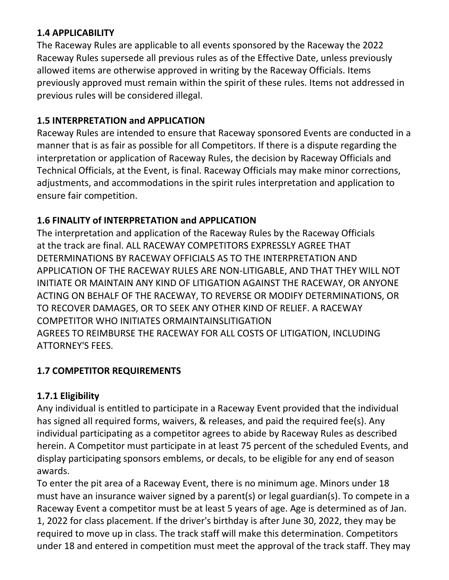### **1.4 APPLICABILITY**

The Raceway Rules are applicable to all events sponsored by the Raceway the 2022 Raceway Rules supersede all previous rules as of the Effective Date, unless previously allowed items are otherwise approved in writing by the Raceway Officials. Items previously approved must remain within the spirit of these rules. Items not addressed in previous rules will be considered illegal.

### **1.5 INTERPRETATION and APPLICATION**

Raceway Rules are intended to ensure that Raceway sponsored Events are conducted in a manner that is as fair as possible for all Competitors. If there is a dispute regarding the interpretation or application of Raceway Rules, the decision by Raceway Officials and Technical Officials, at the Event, is final. Raceway Officials may make minor corrections, adjustments, and accommodations in the spirit rules interpretation and application to ensure fair competition.

## **1.6 FINALITY of INTERPRETATION and APPLICATION**

The interpretation and application of the Raceway Rules by the Raceway Officials at the track are final. ALL RACEWAY COMPETITORS EXPRESSLY AGREE THAT DETERMINATIONS BY RACEWAY OFFICIALS AS TO THE INTERPRETATION AND APPLICATION OF THE RACEWAY RULES ARE NON-LITIGABLE, AND THAT THEY WILL NOT INITIATE OR MAINTAIN ANY KIND OF LITIGATION AGAINST THE RACEWAY, OR ANYONE ACTING ON BEHALF OF THE RACEWAY, TO REVERSE OR MODIFY DETERMINATIONS, OR TO RECOVER DAMAGES, OR TO SEEK ANY OTHER KIND OF RELIEF. A RACEWAY COMPETITOR WHO INITIATES ORMAINTAINSLITIGATION AGREES TO REIMBURSE THE RACEWAY FOR ALL COSTS OF LITIGATION, INCLUDING ATTORNEY'S FEES.

## **1.7 COMPETITOR REQUIREMENTS**

## **1.7.1 Eligibility**

Any individual is entitled to participate in a Raceway Event provided that the individual has signed all required forms, waivers, & releases, and paid the required fee(s). Any individual participating as a competitor agrees to abide by Raceway Rules as described herein. A Competitor must participate in at least 75 percent of the scheduled Events, and display participating sponsors emblems, or decals, to be eligible for any end of season awards.

To enter the pit area of a Raceway Event, there is no minimum age. Minors under 18 must have an insurance waiver signed by a parent(s) or legal guardian(s). To compete in a Raceway Event a competitor must be at least 5 years of age. Age is determined as of Jan. 1, 2022 for class placement. If the driver's birthday is after June 30, 2022, they may be required to move up in class. The track staff will make this determination. Competitors under 18 and entered in competition must meet the approval of the track staff. They may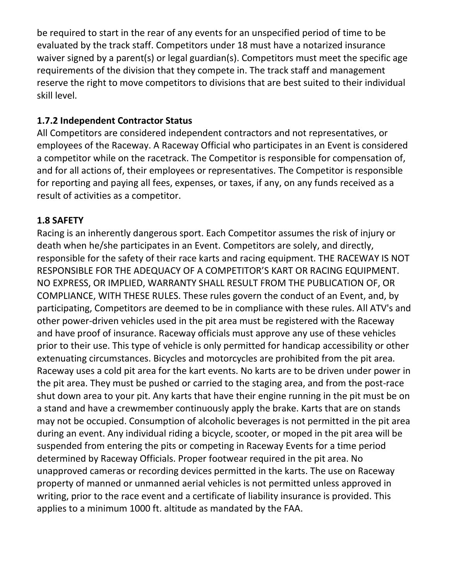be required to start in the rear of any events for an unspecified period of time to be evaluated by the track staff. Competitors under 18 must have a notarized insurance waiver signed by a parent(s) or legal guardian(s). Competitors must meet the specific age requirements of the division that they compete in. The track staff and management reserve the right to move competitors to divisions that are best suited to their individual skill level.

#### **1.7.2 Independent Contractor Status**

All Competitors are considered independent contractors and not representatives, or employees of the Raceway. A Raceway Official who participates in an Event is considered a competitor while on the racetrack. The Competitor is responsible for compensation of, and for all actions of, their employees or representatives. The Competitor is responsible for reporting and paying all fees, expenses, or taxes, if any, on any funds received as a result of activities as a competitor.

#### **1.8 SAFETY**

Racing is an inherently dangerous sport. Each Competitor assumes the risk of injury or death when he/she participates in an Event. Competitors are solely, and directly, responsible for the safety of their race karts and racing equipment. THE RACEWAY IS NOT RESPONSIBLE FOR THE ADEQUACY OF A COMPETITOR'S KART OR RACING EQUIPMENT. NO EXPRESS, OR IMPLIED, WARRANTY SHALL RESULT FROM THE PUBLICATION OF, OR COMPLIANCE, WITH THESE RULES. These rules govern the conduct of an Event, and, by participating, Competitors are deemed to be in compliance with these rules. All ATV's and other power-driven vehicles used in the pit area must be registered with the Raceway and have proof of insurance. Raceway officials must approve any use of these vehicles prior to their use. This type of vehicle is only permitted for handicap accessibility or other extenuating circumstances. Bicycles and motorcycles are prohibited from the pit area. Raceway uses a cold pit area for the kart events. No karts are to be driven under power in the pit area. They must be pushed or carried to the staging area, and from the post-race shut down area to your pit. Any karts that have their engine running in the pit must be on a stand and have a crewmember continuously apply the brake. Karts that are on stands may not be occupied. Consumption of alcoholic beverages is not permitted in the pit area during an event. Any individual riding a bicycle, scooter, or moped in the pit area will be suspended from entering the pits or competing in Raceway Events for a time period determined by Raceway Officials. Proper footwear required in the pit area. No unapproved cameras or recording devices permitted in the karts. The use on Raceway property of manned or unmanned aerial vehicles is not permitted unless approved in writing, prior to the race event and a certificate of liability insurance is provided. This applies to a minimum 1000 ft. altitude as mandated by the FAA.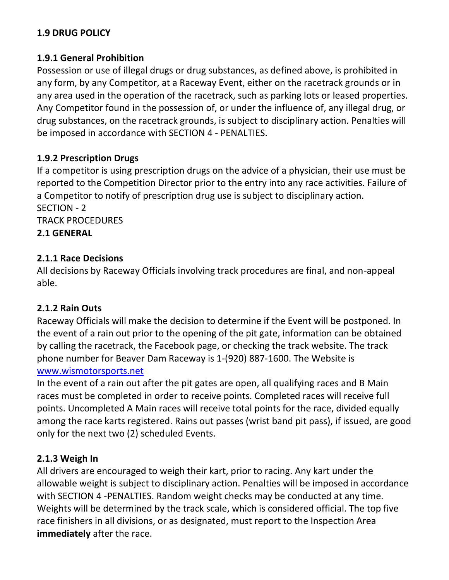#### **1.9 DRUG POLICY**

#### **1.9.1 General Prohibition**

Possession or use of illegal drugs or drug substances, as defined above, is prohibited in any form, by any Competitor, at a Raceway Event, either on the racetrack grounds or in any area used in the operation of the racetrack, such as parking lots or leased properties. Any Competitor found in the possession of, or under the influence of, any illegal drug, or drug substances, on the racetrack grounds, is subject to disciplinary action. Penalties will be imposed in accordance with SECTION 4 - PENALTIES.

#### **1.9.2 Prescription Drugs**

If a competitor is using prescription drugs on the advice of a physician, their use must be reported to the Competition Director prior to the entry into any race activities. Failure of a Competitor to notify of prescription drug use is subject to disciplinary action. SECTION - 2

TRACK PROCEDURES **2.1 GENERAL** 

#### **2.1.1 Race Decisions**

All decisions by Raceway Officials involving track procedures are final, and non-appeal able.

#### **2.1.2 Rain Outs**

Raceway Officials will make the decision to determine if the Event will be postponed. In the event of a rain out prior to the opening of the pit gate, information can be obtained by calling the racetrack, the Facebook page, or checking the track website. The track phone number for Beaver Dam Raceway is 1-(920) 887-1600. The Website is [www.wismotorsports.net](file:///C:/Users/kshepard/Downloads/www.wismotorsports.net)

In the event of a rain out after the pit gates are open, all qualifying races and B Main races must be completed in order to receive points. Completed races will receive full points. Uncompleted A Main races will receive total points for the race, divided equally among the race karts registered. Rains out passes (wrist band pit pass), if issued, are good only for the next two (2) scheduled Events.

#### **2.1.3 Weigh In**

All drivers are encouraged to weigh their kart, prior to racing. Any kart under the allowable weight is subject to disciplinary action. Penalties will be imposed in accordance with SECTION 4 -PENALTIES. Random weight checks may be conducted at any time. Weights will be determined by the track scale, which is considered official. The top five race finishers in all divisions, or as designated, must report to the Inspection Area **immediately** after the race.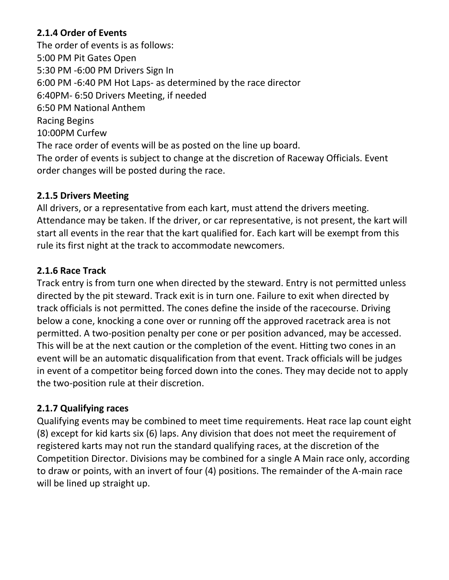#### **2.1.4 Order of Events**

The order of events is as follows: 5:00 PM Pit Gates Open 5:30 PM -6:00 PM Drivers Sign In 6:00 PM -6:40 PM Hot Laps- as determined by the race director 6:40PM- 6:50 Drivers Meeting, if needed 6:50 PM National Anthem Racing Begins 10:00PM Curfew The race order of events will be as posted on the line up board. The order of events is subject to change at the discretion of Raceway Officials. Event order changes will be posted during the race.

#### **2.1.5 Drivers Meeting**

All drivers, or a representative from each kart, must attend the drivers meeting. Attendance may be taken. If the driver, or car representative, is not present, the kart will start all events in the rear that the kart qualified for. Each kart will be exempt from this rule its first night at the track to accommodate newcomers.

#### **2.1.6 Race Track**

Track entry is from turn one when directed by the steward. Entry is not permitted unless directed by the pit steward. Track exit is in turn one. Failure to exit when directed by track officials is not permitted. The cones define the inside of the racecourse. Driving below a cone, knocking a cone over or running off the approved racetrack area is not permitted. A two-position penalty per cone or per position advanced, may be accessed. This will be at the next caution or the completion of the event. Hitting two cones in an event will be an automatic disqualification from that event. Track officials will be judges in event of a competitor being forced down into the cones. They may decide not to apply the two-position rule at their discretion.

#### **2.1.7 Qualifying races**

Qualifying events may be combined to meet time requirements. Heat race lap count eight (8) except for kid karts six (6) laps. Any division that does not meet the requirement of registered karts may not run the standard qualifying races, at the discretion of the Competition Director. Divisions may be combined for a single A Main race only, according to draw or points, with an invert of four (4) positions. The remainder of the A-main race will be lined up straight up.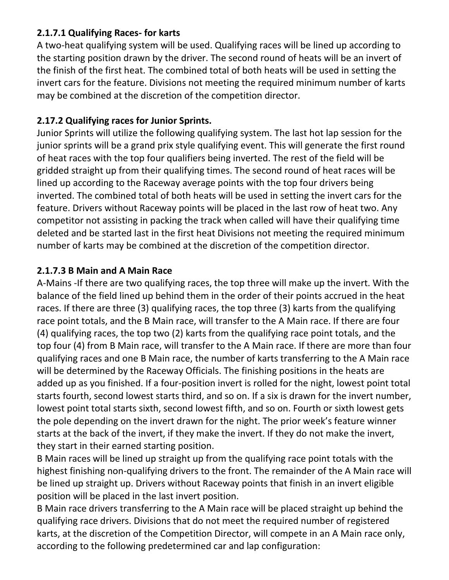### **2.1.7.1 Qualifying Races- for karts**

A two-heat qualifying system will be used. Qualifying races will be lined up according to the starting position drawn by the driver. The second round of heats will be an invert of the finish of the first heat. The combined total of both heats will be used in setting the invert cars for the feature. Divisions not meeting the required minimum number of karts may be combined at the discretion of the competition director.

### **2.17.2 Qualifying races for Junior Sprints.**

Junior Sprints will utilize the following qualifying system. The last hot lap session for the junior sprints will be a grand prix style qualifying event. This will generate the first round of heat races with the top four qualifiers being inverted. The rest of the field will be gridded straight up from their qualifying times. The second round of heat races will be lined up according to the Raceway average points with the top four drivers being inverted. The combined total of both heats will be used in setting the invert cars for the feature. Drivers without Raceway points will be placed in the last row of heat two. Any competitor not assisting in packing the track when called will have their qualifying time deleted and be started last in the first heat Divisions not meeting the required minimum number of karts may be combined at the discretion of the competition director.

### **2.1.7.3 B Main and A Main Race**

A-Mains -If there are two qualifying races, the top three will make up the invert. With the balance of the field lined up behind them in the order of their points accrued in the heat races. If there are three (3) qualifying races, the top three (3) karts from the qualifying race point totals, and the B Main race, will transfer to the A Main race. If there are four (4) qualifying races, the top two (2) karts from the qualifying race point totals, and the top four (4) from B Main race, will transfer to the A Main race. If there are more than four qualifying races and one B Main race, the number of karts transferring to the A Main race will be determined by the Raceway Officials. The finishing positions in the heats are added up as you finished. If a four-position invert is rolled for the night, lowest point total starts fourth, second lowest starts third, and so on. If a six is drawn for the invert number, lowest point total starts sixth, second lowest fifth, and so on. Fourth or sixth lowest gets the pole depending on the invert drawn for the night. The prior week's feature winner starts at the back of the invert, if they make the invert. If they do not make the invert, they start in their earned starting position.

B Main races will be lined up straight up from the qualifying race point totals with the highest finishing non-qualifying drivers to the front. The remainder of the A Main race will be lined up straight up. Drivers without Raceway points that finish in an invert eligible position will be placed in the last invert position.

B Main race drivers transferring to the A Main race will be placed straight up behind the qualifying race drivers. Divisions that do not meet the required number of registered karts, at the discretion of the Competition Director, will compete in an A Main race only, according to the following predetermined car and lap configuration: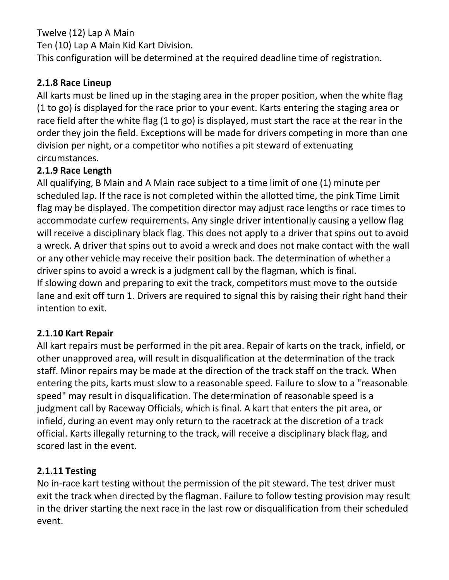Twelve (12) Lap A Main Ten (10) Lap A Main Kid Kart Division. This configuration will be determined at the required deadline time of registration.

#### **2.1.8 Race Lineup**

All karts must be lined up in the staging area in the proper position, when the white flag (1 to go) is displayed for the race prior to your event. Karts entering the staging area or race field after the white flag (1 to go) is displayed, must start the race at the rear in the order they join the field. Exceptions will be made for drivers competing in more than one division per night, or a competitor who notifies a pit steward of extenuating circumstances.

#### **2.1.9 Race Length**

All qualifying, B Main and A Main race subject to a time limit of one (1) minute per scheduled lap. If the race is not completed within the allotted time, the pink Time Limit flag may be displayed. The competition director may adjust race lengths or race times to accommodate curfew requirements. Any single driver intentionally causing a yellow flag will receive a disciplinary black flag. This does not apply to a driver that spins out to avoid a wreck. A driver that spins out to avoid a wreck and does not make contact with the wall or any other vehicle may receive their position back. The determination of whether a driver spins to avoid a wreck is a judgment call by the flagman, which is final. If slowing down and preparing to exit the track, competitors must move to the outside lane and exit off turn 1. Drivers are required to signal this by raising their right hand their intention to exit.

#### **2.1.10 Kart Repair**

All kart repairs must be performed in the pit area. Repair of karts on the track, infield, or other unapproved area, will result in disqualification at the determination of the track staff. Minor repairs may be made at the direction of the track staff on the track. When entering the pits, karts must slow to a reasonable speed. Failure to slow to a "reasonable speed" may result in disqualification. The determination of reasonable speed is a judgment call by Raceway Officials, which is final. A kart that enters the pit area, or infield, during an event may only return to the racetrack at the discretion of a track official. Karts illegally returning to the track, will receive a disciplinary black flag, and scored last in the event.

#### **2.1.11 Testing**

No in-race kart testing without the permission of the pit steward. The test driver must exit the track when directed by the flagman. Failure to follow testing provision may result in the driver starting the next race in the last row or disqualification from their scheduled event.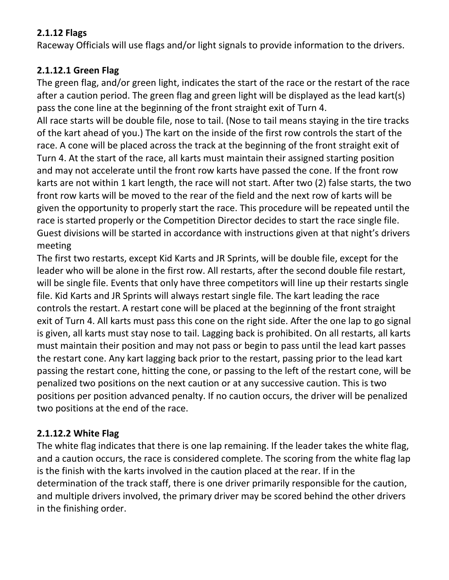### **2.1.12 Flags**

Raceway Officials will use flags and/or light signals to provide information to the drivers.

## **2.1.12.1 Green Flag**

The green flag, and/or green light, indicates the start of the race or the restart of the race after a caution period. The green flag and green light will be displayed as the lead kart(s) pass the cone line at the beginning of the front straight exit of Turn 4.

All race starts will be double file, nose to tail. (Nose to tail means staying in the tire tracks of the kart ahead of you.) The kart on the inside of the first row controls the start of the race. A cone will be placed across the track at the beginning of the front straight exit of Turn 4. At the start of the race, all karts must maintain their assigned starting position and may not accelerate until the front row karts have passed the cone. If the front row karts are not within 1 kart length, the race will not start. After two (2) false starts, the two front row karts will be moved to the rear of the field and the next row of karts will be given the opportunity to properly start the race. This procedure will be repeated until the race is started properly or the Competition Director decides to start the race single file. Guest divisions will be started in accordance with instructions given at that night's drivers meeting

The first two restarts, except Kid Karts and JR Sprints, will be double file, except for the leader who will be alone in the first row. All restarts, after the second double file restart, will be single file. Events that only have three competitors will line up their restarts single file. Kid Karts and JR Sprints will always restart single file. The kart leading the race controls the restart. A restart cone will be placed at the beginning of the front straight exit of Turn 4. All karts must pass this cone on the right side. After the one lap to go signal is given, all karts must stay nose to tail. Lagging back is prohibited. On all restarts, all karts must maintain their position and may not pass or begin to pass until the lead kart passes the restart cone. Any kart lagging back prior to the restart, passing prior to the lead kart passing the restart cone, hitting the cone, or passing to the left of the restart cone, will be penalized two positions on the next caution or at any successive caution. This is two positions per position advanced penalty. If no caution occurs, the driver will be penalized two positions at the end of the race.

## **2.1.12.2 White Flag**

The white flag indicates that there is one lap remaining. If the leader takes the white flag, and a caution occurs, the race is considered complete. The scoring from the white flag lap is the finish with the karts involved in the caution placed at the rear. If in the determination of the track staff, there is one driver primarily responsible for the caution, and multiple drivers involved, the primary driver may be scored behind the other drivers in the finishing order.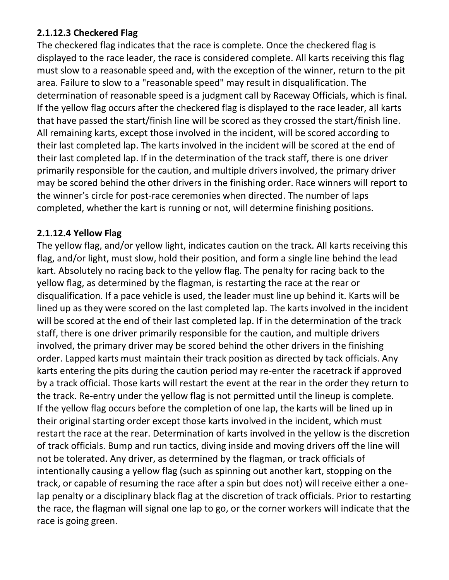#### **2.1.12.3 Checkered Flag**

The checkered flag indicates that the race is complete. Once the checkered flag is displayed to the race leader, the race is considered complete. All karts receiving this flag must slow to a reasonable speed and, with the exception of the winner, return to the pit area. Failure to slow to a "reasonable speed" may result in disqualification. The determination of reasonable speed is a judgment call by Raceway Officials, which is final. If the yellow flag occurs after the checkered flag is displayed to the race leader, all karts that have passed the start/finish line will be scored as they crossed the start/finish line. All remaining karts, except those involved in the incident, will be scored according to their last completed lap. The karts involved in the incident will be scored at the end of their last completed lap. If in the determination of the track staff, there is one driver primarily responsible for the caution, and multiple drivers involved, the primary driver may be scored behind the other drivers in the finishing order. Race winners will report to the winner's circle for post-race ceremonies when directed. The number of laps completed, whether the kart is running or not, will determine finishing positions.

#### **2.1.12.4 Yellow Flag**

The yellow flag, and/or yellow light, indicates caution on the track. All karts receiving this flag, and/or light, must slow, hold their position, and form a single line behind the lead kart. Absolutely no racing back to the yellow flag. The penalty for racing back to the yellow flag, as determined by the flagman, is restarting the race at the rear or disqualification. If a pace vehicle is used, the leader must line up behind it. Karts will be lined up as they were scored on the last completed lap. The karts involved in the incident will be scored at the end of their last completed lap. If in the determination of the track staff, there is one driver primarily responsible for the caution, and multiple drivers involved, the primary driver may be scored behind the other drivers in the finishing order. Lapped karts must maintain their track position as directed by tack officials. Any karts entering the pits during the caution period may re-enter the racetrack if approved by a track official. Those karts will restart the event at the rear in the order they return to the track. Re-entry under the yellow flag is not permitted until the lineup is complete. If the yellow flag occurs before the completion of one lap, the karts will be lined up in their original starting order except those karts involved in the incident, which must restart the race at the rear. Determination of karts involved in the yellow is the discretion of track officials. Bump and run tactics, diving inside and moving drivers off the line will not be tolerated. Any driver, as determined by the flagman, or track officials of intentionally causing a yellow flag (such as spinning out another kart, stopping on the track, or capable of resuming the race after a spin but does not) will receive either a onelap penalty or a disciplinary black flag at the discretion of track officials. Prior to restarting the race, the flagman will signal one lap to go, or the corner workers will indicate that the race is going green.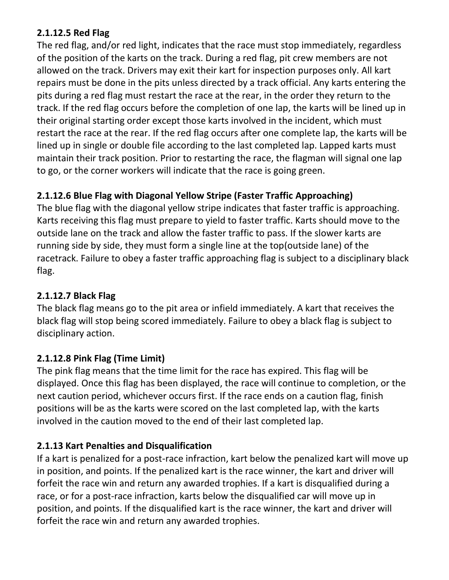### **2.1.12.5 Red Flag**

The red flag, and/or red light, indicates that the race must stop immediately, regardless of the position of the karts on the track. During a red flag, pit crew members are not allowed on the track. Drivers may exit their kart for inspection purposes only. All kart repairs must be done in the pits unless directed by a track official. Any karts entering the pits during a red flag must restart the race at the rear, in the order they return to the track. If the red flag occurs before the completion of one lap, the karts will be lined up in their original starting order except those karts involved in the incident, which must restart the race at the rear. If the red flag occurs after one complete lap, the karts will be lined up in single or double file according to the last completed lap. Lapped karts must maintain their track position. Prior to restarting the race, the flagman will signal one lap to go, or the corner workers will indicate that the race is going green.

## **2.1.12.6 Blue Flag with Diagonal Yellow Stripe (Faster Traffic Approaching)**

The blue flag with the diagonal yellow stripe indicates that faster traffic is approaching. Karts receiving this flag must prepare to yield to faster traffic. Karts should move to the outside lane on the track and allow the faster traffic to pass. If the slower karts are running side by side, they must form a single line at the top(outside lane) of the racetrack. Failure to obey a faster traffic approaching flag is subject to a disciplinary black flag.

### **2.1.12.7 Black Flag**

The black flag means go to the pit area or infield immediately. A kart that receives the black flag will stop being scored immediately. Failure to obey a black flag is subject to disciplinary action.

#### **2.1.12.8 Pink Flag (Time Limit)**

The pink flag means that the time limit for the race has expired. This flag will be displayed. Once this flag has been displayed, the race will continue to completion, or the next caution period, whichever occurs first. If the race ends on a caution flag, finish positions will be as the karts were scored on the last completed lap, with the karts involved in the caution moved to the end of their last completed lap.

#### **2.1.13 Kart Penalties and Disqualification**

If a kart is penalized for a post-race infraction, kart below the penalized kart will move up in position, and points. If the penalized kart is the race winner, the kart and driver will forfeit the race win and return any awarded trophies. If a kart is disqualified during a race, or for a post-race infraction, karts below the disqualified car will move up in position, and points. If the disqualified kart is the race winner, the kart and driver will forfeit the race win and return any awarded trophies.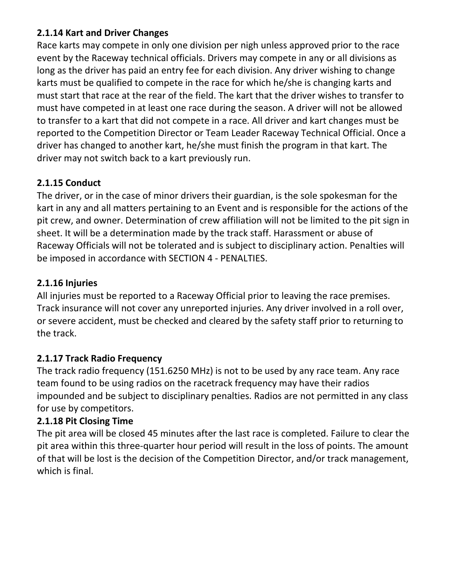### **2.1.14 Kart and Driver Changes**

Race karts may compete in only one division per nigh unless approved prior to the race event by the Raceway technical officials. Drivers may compete in any or all divisions as long as the driver has paid an entry fee for each division. Any driver wishing to change karts must be qualified to compete in the race for which he/she is changing karts and must start that race at the rear of the field. The kart that the driver wishes to transfer to must have competed in at least one race during the season. A driver will not be allowed to transfer to a kart that did not compete in a race. All driver and kart changes must be reported to the Competition Director or Team Leader Raceway Technical Official. Once a driver has changed to another kart, he/she must finish the program in that kart. The driver may not switch back to a kart previously run.

## **2.1.15 Conduct**

The driver, or in the case of minor drivers their guardian, is the sole spokesman for the kart in any and all matters pertaining to an Event and is responsible for the actions of the pit crew, and owner. Determination of crew affiliation will not be limited to the pit sign in sheet. It will be a determination made by the track staff. Harassment or abuse of Raceway Officials will not be tolerated and is subject to disciplinary action. Penalties will be imposed in accordance with SECTION 4 - PENALTIES.

### **2.1.16 Injuries**

All injuries must be reported to a Raceway Official prior to leaving the race premises. Track insurance will not cover any unreported injuries. Any driver involved in a roll over, or severe accident, must be checked and cleared by the safety staff prior to returning to the track.

## **2.1.17 Track Radio Frequency**

The track radio frequency (151.6250 MHz) is not to be used by any race team. Any race team found to be using radios on the racetrack frequency may have their radios impounded and be subject to disciplinary penalties. Radios are not permitted in any class for use by competitors.

#### **2.1.18 Pit Closing Time**

The pit area will be closed 45 minutes after the last race is completed. Failure to clear the pit area within this three-quarter hour period will result in the loss of points. The amount of that will be lost is the decision of the Competition Director, and/or track management, which is final.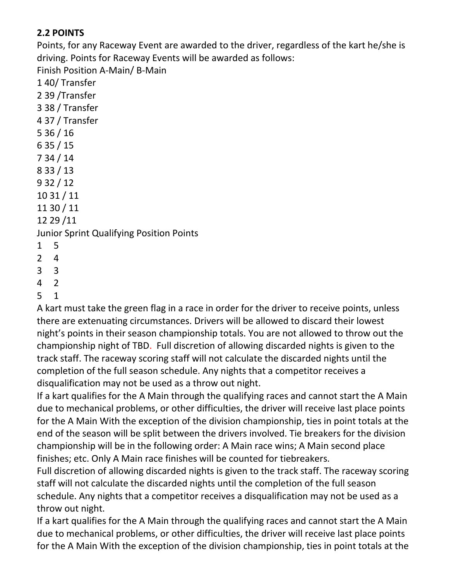## **2.2 POINTS**

Points, for any Raceway Event are awarded to the driver, regardless of the kart he/she is driving. Points for Raceway Events will be awarded as follows:

Finish Position A-Main/ B-Main

- 4 2
- 5 1

A kart must take the green flag in a race in order for the driver to receive points, unless there are extenuating circumstances. Drivers will be allowed to discard their lowest night's points in their season championship totals. You are not allowed to throw out the championship night of TBD. Full discretion of allowing discarded nights is given to the track staff. The raceway scoring staff will not calculate the discarded nights until the completion of the full season schedule. Any nights that a competitor receives a disqualification may not be used as a throw out night.

If a kart qualifies for the A Main through the qualifying races and cannot start the A Main due to mechanical problems, or other difficulties, the driver will receive last place points for the A Main With the exception of the division championship, ties in point totals at the end of the season will be split between the drivers involved. Tie breakers for the division championship will be in the following order: A Main race wins; A Main second place finishes; etc. Only A Main race finishes will be counted for tiebreakers.

Full discretion of allowing discarded nights is given to the track staff. The raceway scoring staff will not calculate the discarded nights until the completion of the full season schedule. Any nights that a competitor receives a disqualification may not be used as a throw out night.

If a kart qualifies for the A Main through the qualifying races and cannot start the A Main due to mechanical problems, or other difficulties, the driver will receive last place points for the A Main With the exception of the division championship, ties in point totals at the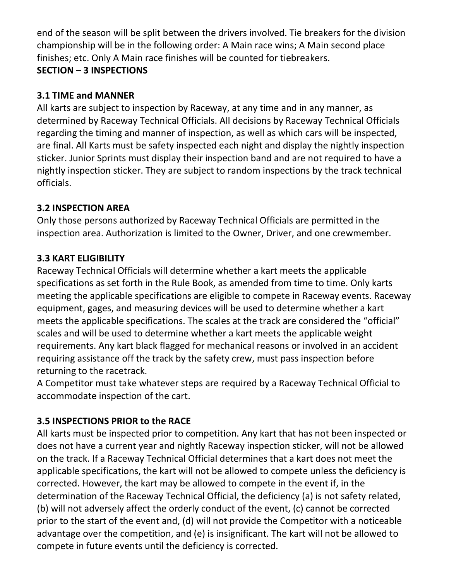end of the season will be split between the drivers involved. Tie breakers for the division championship will be in the following order: A Main race wins; A Main second place finishes; etc. Only A Main race finishes will be counted for tiebreakers. **SECTION – 3 INSPECTIONS** 

#### **3.1 TIME and MANNER**

All karts are subject to inspection by Raceway, at any time and in any manner, as determined by Raceway Technical Officials. All decisions by Raceway Technical Officials regarding the timing and manner of inspection, as well as which cars will be inspected, are final. All Karts must be safety inspected each night and display the nightly inspection sticker. Junior Sprints must display their inspection band and are not required to have a nightly inspection sticker. They are subject to random inspections by the track technical officials.

#### **3.2 INSPECTION AREA**

Only those persons authorized by Raceway Technical Officials are permitted in the inspection area. Authorization is limited to the Owner, Driver, and one crewmember.

### **3.3 KART ELIGIBILITY**

Raceway Technical Officials will determine whether a kart meets the applicable specifications as set forth in the Rule Book, as amended from time to time. Only karts meeting the applicable specifications are eligible to compete in Raceway events. Raceway equipment, gages, and measuring devices will be used to determine whether a kart meets the applicable specifications. The scales at the track are considered the "official" scales and will be used to determine whether a kart meets the applicable weight requirements. Any kart black flagged for mechanical reasons or involved in an accident requiring assistance off the track by the safety crew, must pass inspection before returning to the racetrack.

A Competitor must take whatever steps are required by a Raceway Technical Official to accommodate inspection of the cart.

#### **3.5 INSPECTIONS PRIOR to the RACE**

All karts must be inspected prior to competition. Any kart that has not been inspected or does not have a current year and nightly Raceway inspection sticker, will not be allowed on the track. If a Raceway Technical Official determines that a kart does not meet the applicable specifications, the kart will not be allowed to compete unless the deficiency is corrected. However, the kart may be allowed to compete in the event if, in the determination of the Raceway Technical Official, the deficiency (a) is not safety related, (b) will not adversely affect the orderly conduct of the event, (c) cannot be corrected prior to the start of the event and, (d) will not provide the Competitor with a noticeable advantage over the competition, and (e) is insignificant. The kart will not be allowed to compete in future events until the deficiency is corrected.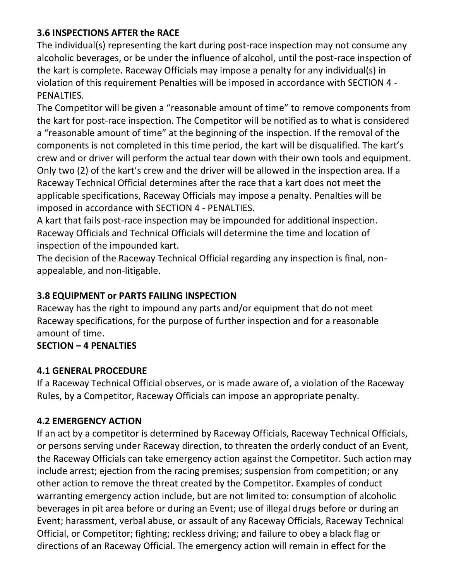### **3.6 INSPECTIONS AFTER the RACE**

The individual(s) representing the kart during post-race inspection may not consume any alcoholic beverages, or be under the influence of alcohol, until the post-race inspection of the kart is complete. Raceway Officials may impose a penalty for any individual(s) in violation of this requirement Penalties will be imposed in accordance with SECTION 4 - PENALTIES.

The Competitor will be given a "reasonable amount of time" to remove components from the kart for post-race inspection. The Competitor will be notified as to what is considered a "reasonable amount of time" at the beginning of the inspection. If the removal of the components is not completed in this time period, the kart will be disqualified. The kart's crew and or driver will perform the actual tear down with their own tools and equipment. Only two (2) of the kart's crew and the driver will be allowed in the inspection area. If a Raceway Technical Official determines after the race that a kart does not meet the applicable specifications, Raceway Officials may impose a penalty. Penalties will be imposed in accordance with SECTION 4 - PENALTIES.

A kart that fails post-race inspection may be impounded for additional inspection. Raceway Officials and Technical Officials will determine the time and location of inspection of the impounded kart.

The decision of the Raceway Technical Official regarding any inspection is final, nonappealable, and non-litigable.

### **3.8 EQUIPMENT or PARTS FAILING INSPECTION**

Raceway has the right to impound any parts and/or equipment that do not meet Raceway specifications, for the purpose of further inspection and for a reasonable amount of time.

#### **SECTION – 4 PENALTIES**

#### **4.1 GENERAL PROCEDURE**

If a Raceway Technical Official observes, or is made aware of, a violation of the Raceway Rules, by a Competitor, Raceway Officials can impose an appropriate penalty.

#### **4.2 EMERGENCY ACTION**

If an act by a competitor is determined by Raceway Officials, Raceway Technical Officials, or persons serving under Raceway direction, to threaten the orderly conduct of an Event, the Raceway Officials can take emergency action against the Competitor. Such action may include arrest; ejection from the racing premises; suspension from competition; or any other action to remove the threat created by the Competitor. Examples of conduct warranting emergency action include, but are not limited to: consumption of alcoholic beverages in pit area before or during an Event; use of illegal drugs before or during an Event; harassment, verbal abuse, or assault of any Raceway Officials, Raceway Technical Official, or Competitor; fighting; reckless driving; and failure to obey a black flag or directions of an Raceway Official. The emergency action will remain in effect for the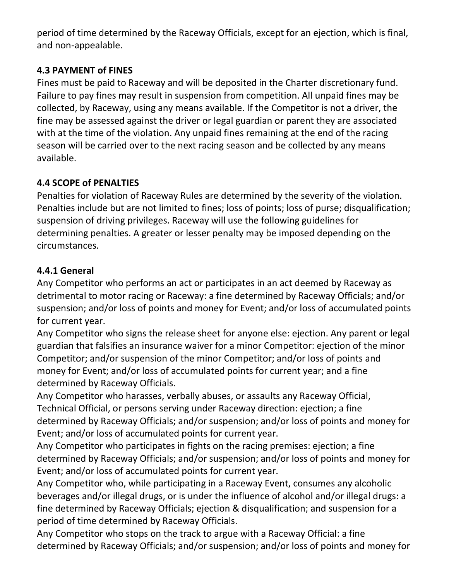period of time determined by the Raceway Officials, except for an ejection, which is final, and non-appealable.

## **4.3 PAYMENT of FINES**

Fines must be paid to Raceway and will be deposited in the Charter discretionary fund. Failure to pay fines may result in suspension from competition. All unpaid fines may be collected, by Raceway, using any means available. If the Competitor is not a driver, the fine may be assessed against the driver or legal guardian or parent they are associated with at the time of the violation. Any unpaid fines remaining at the end of the racing season will be carried over to the next racing season and be collected by any means available.

### **4.4 SCOPE of PENALTIES**

Penalties for violation of Raceway Rules are determined by the severity of the violation. Penalties include but are not limited to fines; loss of points; loss of purse; disqualification; suspension of driving privileges. Raceway will use the following guidelines for determining penalties. A greater or lesser penalty may be imposed depending on the circumstances.

### **4.4.1 General**

Any Competitor who performs an act or participates in an act deemed by Raceway as detrimental to motor racing or Raceway: a fine determined by Raceway Officials; and/or suspension; and/or loss of points and money for Event; and/or loss of accumulated points for current year.

Any Competitor who signs the release sheet for anyone else: ejection. Any parent or legal guardian that falsifies an insurance waiver for a minor Competitor: ejection of the minor Competitor; and/or suspension of the minor Competitor; and/or loss of points and money for Event; and/or loss of accumulated points for current year; and a fine determined by Raceway Officials.

Any Competitor who harasses, verbally abuses, or assaults any Raceway Official, Technical Official, or persons serving under Raceway direction: ejection; a fine determined by Raceway Officials; and/or suspension; and/or loss of points and money for Event; and/or loss of accumulated points for current year.

Any Competitor who participates in fights on the racing premises: ejection; a fine determined by Raceway Officials; and/or suspension; and/or loss of points and money for Event; and/or loss of accumulated points for current year.

Any Competitor who, while participating in a Raceway Event, consumes any alcoholic beverages and/or illegal drugs, or is under the influence of alcohol and/or illegal drugs: a fine determined by Raceway Officials; ejection & disqualification; and suspension for a period of time determined by Raceway Officials.

Any Competitor who stops on the track to argue with a Raceway Official: a fine determined by Raceway Officials; and/or suspension; and/or loss of points and money for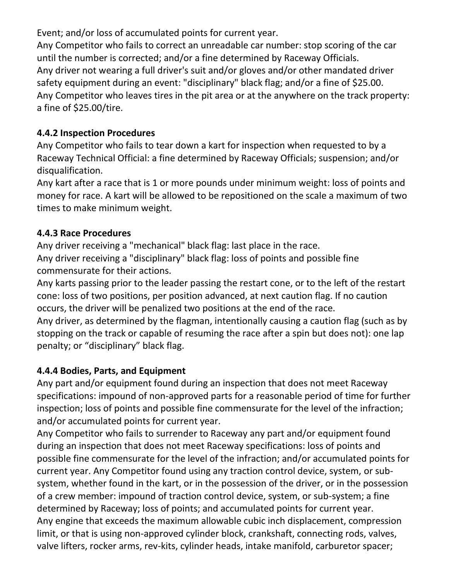Event; and/or loss of accumulated points for current year.

Any Competitor who fails to correct an unreadable car number: stop scoring of the car until the number is corrected; and/or a fine determined by Raceway Officials. Any driver not wearing a full driver's suit and/or gloves and/or other mandated driver safety equipment during an event: "disciplinary" black flag; and/or a fine of \$25.00. Any Competitor who leaves tires in the pit area or at the anywhere on the track property: a fine of \$25.00/tire.

### **4.4.2 Inspection Procedures**

Any Competitor who fails to tear down a kart for inspection when requested to by a Raceway Technical Official: a fine determined by Raceway Officials; suspension; and/or disqualification.

Any kart after a race that is 1 or more pounds under minimum weight: loss of points and money for race. A kart will be allowed to be repositioned on the scale a maximum of two times to make minimum weight.

#### **4.4.3 Race Procedures**

Any driver receiving a "mechanical" black flag: last place in the race. Any driver receiving a "disciplinary" black flag: loss of points and possible fine commensurate for their actions.

Any karts passing prior to the leader passing the restart cone, or to the left of the restart cone: loss of two positions, per position advanced, at next caution flag. If no caution occurs, the driver will be penalized two positions at the end of the race.

Any driver, as determined by the flagman, intentionally causing a caution flag (such as by stopping on the track or capable of resuming the race after a spin but does not): one lap penalty; or "disciplinary" black flag.

## **4.4.4 Bodies, Parts, and Equipment**

Any part and/or equipment found during an inspection that does not meet Raceway specifications: impound of non-approved parts for a reasonable period of time for further inspection; loss of points and possible fine commensurate for the level of the infraction; and/or accumulated points for current year.

Any Competitor who fails to surrender to Raceway any part and/or equipment found during an inspection that does not meet Raceway specifications: loss of points and possible fine commensurate for the level of the infraction; and/or accumulated points for current year. Any Competitor found using any traction control device, system, or subsystem, whether found in the kart, or in the possession of the driver, or in the possession of a crew member: impound of traction control device, system, or sub-system; a fine determined by Raceway; loss of points; and accumulated points for current year. Any engine that exceeds the maximum allowable cubic inch displacement, compression limit, or that is using non-approved cylinder block, crankshaft, connecting rods, valves, valve lifters, rocker arms, rev-kits, cylinder heads, intake manifold, carburetor spacer;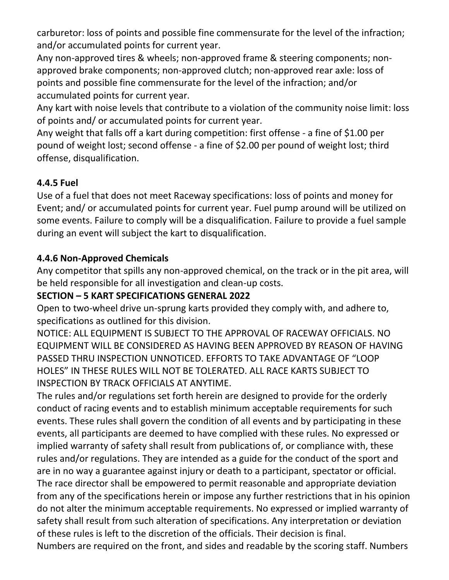carburetor: loss of points and possible fine commensurate for the level of the infraction; and/or accumulated points for current year.

Any non-approved tires & wheels; non-approved frame & steering components; nonapproved brake components; non-approved clutch; non-approved rear axle: loss of points and possible fine commensurate for the level of the infraction; and/or accumulated points for current year.

Any kart with noise levels that contribute to a violation of the community noise limit: loss of points and/ or accumulated points for current year.

Any weight that falls off a kart during competition: first offense - a fine of \$1.00 per pound of weight lost; second offense - a fine of \$2.00 per pound of weight lost; third offense, disqualification.

## **4.4.5 Fuel**

Use of a fuel that does not meet Raceway specifications: loss of points and money for Event; and/ or accumulated points for current year. Fuel pump around will be utilized on some events. Failure to comply will be a disqualification. Failure to provide a fuel sample during an event will subject the kart to disqualification.

#### **4.4.6 Non-Approved Chemicals**

Any competitor that spills any non-approved chemical, on the track or in the pit area, will be held responsible for all investigation and clean-up costs.

### **SECTION – 5 KART SPECIFICATIONS GENERAL 2022**

Open to two-wheel drive un-sprung karts provided they comply with, and adhere to, specifications as outlined for this division.

NOTICE: ALL EQUIPMENT IS SUBJECT TO THE APPROVAL OF RACEWAY OFFICIALS. NO EQUIPMENT WILL BE CONSIDERED AS HAVING BEEN APPROVED BY REASON OF HAVING PASSED THRU INSPECTION UNNOTICED. EFFORTS TO TAKE ADVANTAGE OF "LOOP HOLES" IN THESE RULES WILL NOT BE TOLERATED. ALL RACE KARTS SUBJECT TO INSPECTION BY TRACK OFFICIALS AT ANYTIME.

The rules and/or regulations set forth herein are designed to provide for the orderly conduct of racing events and to establish minimum acceptable requirements for such events. These rules shall govern the condition of all events and by participating in these events, all participants are deemed to have complied with these rules. No expressed or implied warranty of safety shall result from publications of, or compliance with, these rules and/or regulations. They are intended as a guide for the conduct of the sport and are in no way a guarantee against injury or death to a participant, spectator or official. The race director shall be empowered to permit reasonable and appropriate deviation from any of the specifications herein or impose any further restrictions that in his opinion do not alter the minimum acceptable requirements. No expressed or implied warranty of safety shall result from such alteration of specifications. Any interpretation or deviation of these rules is left to the discretion of the officials. Their decision is final. Numbers are required on the front, and sides and readable by the scoring staff. Numbers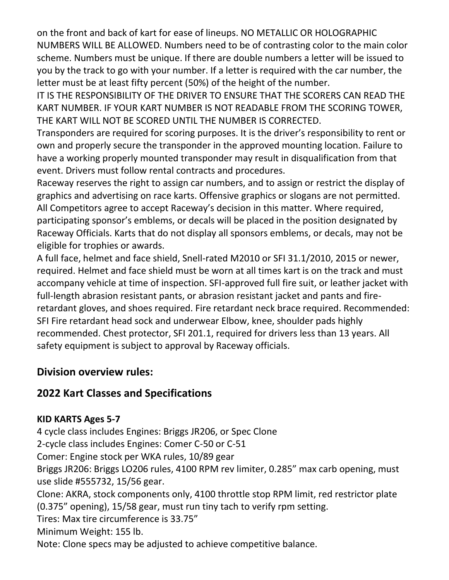on the front and back of kart for ease of lineups. NO METALLIC OR HOLOGRAPHIC NUMBERS WILL BE ALLOWED. Numbers need to be of contrasting color to the main color scheme. Numbers must be unique. If there are double numbers a letter will be issued to you by the track to go with your number. If a letter is required with the car number, the letter must be at least fifty percent (50%) of the height of the number.

IT IS THE RESPONSIBILITY OF THE DRIVER TO ENSURE THAT THE SCORERS CAN READ THE KART NUMBER. IF YOUR KART NUMBER IS NOT READABLE FROM THE SCORING TOWER, THE KART WILL NOT BE SCORED UNTIL THE NUMBER IS CORRECTED.

Transponders are required for scoring purposes. It is the driver's responsibility to rent or own and properly secure the transponder in the approved mounting location. Failure to have a working properly mounted transponder may result in disqualification from that event. Drivers must follow rental contracts and procedures.

Raceway reserves the right to assign car numbers, and to assign or restrict the display of graphics and advertising on race karts. Offensive graphics or slogans are not permitted. All Competitors agree to accept Raceway's decision in this matter. Where required, participating sponsor's emblems, or decals will be placed in the position designated by Raceway Officials. Karts that do not display all sponsors emblems, or decals, may not be eligible for trophies or awards.

A full face, helmet and face shield, Snell-rated M2010 or SFI 31.1/2010, 2015 or newer, required. Helmet and face shield must be worn at all times kart is on the track and must accompany vehicle at time of inspection. SFI-approved full fire suit, or leather jacket with full-length abrasion resistant pants, or abrasion resistant jacket and pants and fireretardant gloves, and shoes required. Fire retardant neck brace required. Recommended: SFI Fire retardant head sock and underwear Elbow, knee, shoulder pads highly recommended. Chest protector, SFI 201.1, required for drivers less than 13 years. All safety equipment is subject to approval by Raceway officials.

## **Division overview rules:**

## **2022 Kart Classes and Specifications**

#### **KID KARTS Ages 5-7**

4 cycle class includes Engines: Briggs JR206, or Spec Clone 2-cycle class includes Engines: Comer C-50 or C-51 Comer: Engine stock per WKA rules, 10/89 gear Briggs JR206: Briggs LO206 rules, 4100 RPM rev limiter, 0.285" max carb opening, must use slide #555732, 15/56 gear. Clone: AKRA, stock components only, 4100 throttle stop RPM limit, red restrictor plate (0.375" opening), 15/58 gear, must run tiny tach to verify rpm setting. Tires: Max tire circumference is 33.75" Minimum Weight: 155 lb.

Note: Clone specs may be adjusted to achieve competitive balance.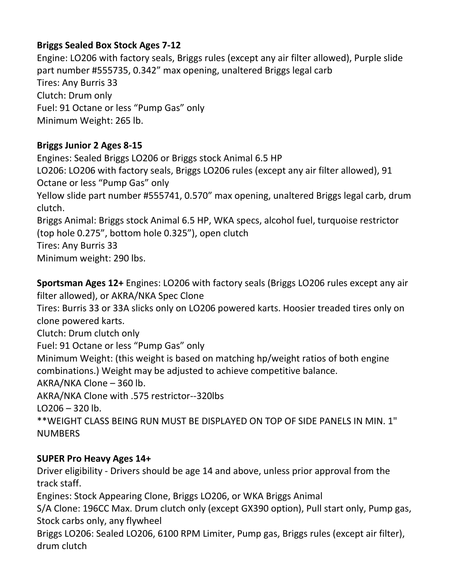## **Briggs Sealed Box Stock Ages 7-12**

Engine: LO206 with factory seals, Briggs rules (except any air filter allowed), Purple slide part number #555735, 0.342" max opening, unaltered Briggs legal carb Tires: Any Burris 33 Clutch: Drum only Fuel: 91 Octane or less "Pump Gas" only Minimum Weight: 265 lb.

### **Briggs Junior 2 Ages 8-15**

Engines: Sealed Briggs LO206 or Briggs stock Animal 6.5 HP LO206: LO206 with factory seals, Briggs LO206 rules (except any air filter allowed), 91 Octane or less "Pump Gas" only Yellow slide part number #555741, 0.570" max opening, unaltered Briggs legal carb, drum clutch. Briggs Animal: Briggs stock Animal 6.5 HP, WKA specs, alcohol fuel, turquoise restrictor

(top hole 0.275", bottom hole 0.325"), open clutch

Tires: Any Burris 33

Minimum weight: 290 lbs.

**Sportsman Ages 12+** Engines: LO206 with factory seals (Briggs LO206 rules except any air filter allowed), or AKRA/NKA Spec Clone Tires: Burris 33 or 33A slicks only on LO206 powered karts. Hoosier treaded tires only on clone powered karts. Clutch: Drum clutch only Fuel: 91 Octane or less "Pump Gas" only Minimum Weight: (this weight is based on matching hp/weight ratios of both engine combinations.) Weight may be adjusted to achieve competitive balance. AKRA/NKA Clone – 360 lb. AKRA/NKA Clone with .575 restrictor--320lbs  $LO<sub>206</sub> - 320$  lb. \*\*WEIGHT CLASS BEING RUN MUST BE DISPLAYED ON TOP OF SIDE PANELS IN MIN. 1" **NUMBERS** 

## **SUPER Pro Heavy Ages 14+**

Driver eligibility - Drivers should be age 14 and above, unless prior approval from the track staff.

Engines: Stock Appearing Clone, Briggs LO206, or WKA Briggs Animal

S/A Clone: 196CC Max. Drum clutch only (except GX390 option), Pull start only, Pump gas, Stock carbs only, any flywheel

Briggs LO206: Sealed LO206, 6100 RPM Limiter, Pump gas, Briggs rules (except air filter), drum clutch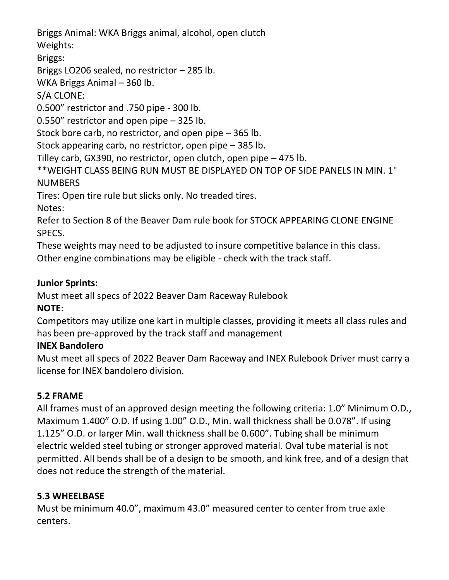Briggs Animal: WKA Briggs animal, alcohol, open clutch Weights:

Briggs:

Briggs LO206 sealed, no restrictor – 285 lb.

WKA Briggs Animal – 360 lb.

S/A CLONE:

0.500" restrictor and .750 pipe - 300 lb.

0.550" restrictor and open pipe – 325 lb.

Stock bore carb, no restrictor, and open pipe – 365 lb.

Stock appearing carb, no restrictor, open pipe – 385 lb.

Tilley carb, GX390, no restrictor, open clutch, open pipe – 475 lb.

\*\*WEIGHT CLASS BEING RUN MUST BE DISPLAYED ON TOP OF SIDE PANELS IN MIN. 1" **NUMBERS** 

Tires: Open tire rule but slicks only. No treaded tires.

Notes:

Refer to Section 8 of the Beaver Dam rule book for STOCK APPEARING CLONE ENGINE SPECS.

These weights may need to be adjusted to insure competitive balance in this class.

Other engine combinations may be eligible - check with the track staff.

## **Junior Sprints:**

Must meet all specs of 2022 Beaver Dam Raceway Rulebook

## **NOTE**:

Competitors may utilize one kart in multiple classes, providing it meets all class rules and has been pre-approved by the track staff and management

## **INEX Bandolero**

Must meet all specs of 2022 Beaver Dam Raceway and INEX Rulebook Driver must carry a license for INEX bandolero division.

## **5.2 FRAME**

All frames must of an approved design meeting the following criteria: 1.0" Minimum O.D., Maximum 1.400" O.D. If using 1.00" O.D., Min. wall thickness shall be 0.078". If using 1.125" O.D. or larger Min. wall thickness shall be 0.600". Tubing shall be minimum electric welded steel tubing or stronger approved material. Oval tube material is not permitted. All bends shall be of a design to be smooth, and kink free, and of a design that does not reduce the strength of the material.

## **5.3 WHEELBASE**

Must be minimum 40.0", maximum 43.0" measured center to center from true axle centers.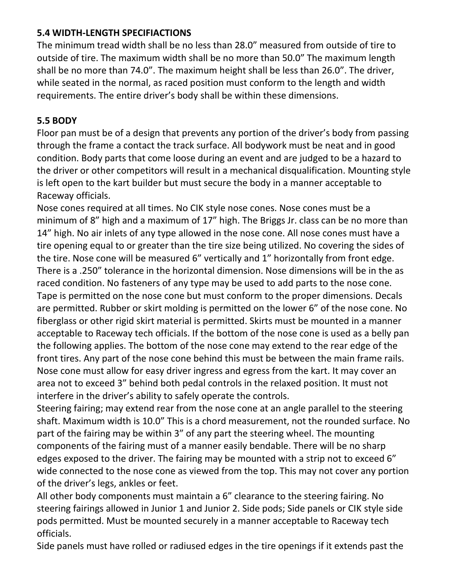### **5.4 WIDTH-LENGTH SPECIFIACTIONS**

The minimum tread width shall be no less than 28.0" measured from outside of tire to outside of tire. The maximum width shall be no more than 50.0" The maximum length shall be no more than 74.0". The maximum height shall be less than 26.0". The driver, while seated in the normal, as raced position must conform to the length and width requirements. The entire driver's body shall be within these dimensions.

### **5.5 BODY**

Floor pan must be of a design that prevents any portion of the driver's body from passing through the frame a contact the track surface. All bodywork must be neat and in good condition. Body parts that come loose during an event and are judged to be a hazard to the driver or other competitors will result in a mechanical disqualification. Mounting style is left open to the kart builder but must secure the body in a manner acceptable to Raceway officials.

Nose cones required at all times. No CIK style nose cones. Nose cones must be a minimum of 8" high and a maximum of 17" high. The Briggs Jr. class can be no more than 14" high. No air inlets of any type allowed in the nose cone. All nose cones must have a tire opening equal to or greater than the tire size being utilized. No covering the sides of the tire. Nose cone will be measured 6" vertically and 1" horizontally from front edge. There is a .250" tolerance in the horizontal dimension. Nose dimensions will be in the as raced condition. No fasteners of any type may be used to add parts to the nose cone. Tape is permitted on the nose cone but must conform to the proper dimensions. Decals are permitted. Rubber or skirt molding is permitted on the lower 6" of the nose cone. No fiberglass or other rigid skirt material is permitted. Skirts must be mounted in a manner acceptable to Raceway tech officials. If the bottom of the nose cone is used as a belly pan the following applies. The bottom of the nose cone may extend to the rear edge of the front tires. Any part of the nose cone behind this must be between the main frame rails. Nose cone must allow for easy driver ingress and egress from the kart. It may cover an area not to exceed 3" behind both pedal controls in the relaxed position. It must not interfere in the driver's ability to safely operate the controls.

Steering fairing; may extend rear from the nose cone at an angle parallel to the steering shaft. Maximum width is 10.0" This is a chord measurement, not the rounded surface. No part of the fairing may be within 3" of any part the steering wheel. The mounting components of the fairing must of a manner easily bendable. There will be no sharp edges exposed to the driver. The fairing may be mounted with a strip not to exceed 6" wide connected to the nose cone as viewed from the top. This may not cover any portion of the driver's legs, ankles or feet.

All other body components must maintain a 6" clearance to the steering fairing. No steering fairings allowed in Junior 1 and Junior 2. Side pods; Side panels or CIK style side pods permitted. Must be mounted securely in a manner acceptable to Raceway tech officials.

Side panels must have rolled or radiused edges in the tire openings if it extends past the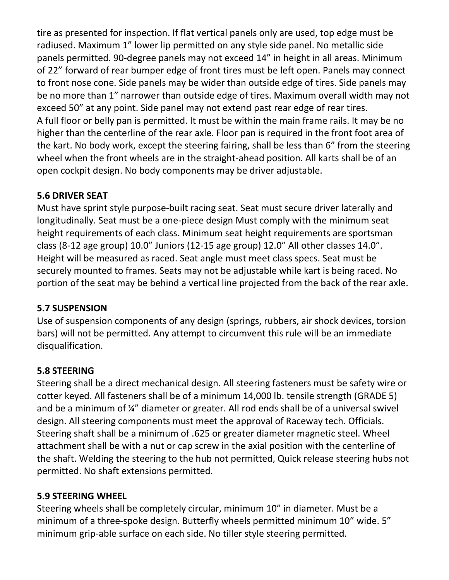tire as presented for inspection. If flat vertical panels only are used, top edge must be radiused. Maximum 1" lower lip permitted on any style side panel. No metallic side panels permitted. 90-degree panels may not exceed 14" in height in all areas. Minimum of 22" forward of rear bumper edge of front tires must be left open. Panels may connect to front nose cone. Side panels may be wider than outside edge of tires. Side panels may be no more than 1" narrower than outside edge of tires. Maximum overall width may not exceed 50" at any point. Side panel may not extend past rear edge of rear tires. A full floor or belly pan is permitted. It must be within the main frame rails. It may be no higher than the centerline of the rear axle. Floor pan is required in the front foot area of the kart. No body work, except the steering fairing, shall be less than 6" from the steering wheel when the front wheels are in the straight-ahead position. All karts shall be of an open cockpit design. No body components may be driver adjustable.

### **5.6 DRIVER SEAT**

Must have sprint style purpose-built racing seat. Seat must secure driver laterally and longitudinally. Seat must be a one-piece design Must comply with the minimum seat height requirements of each class. Minimum seat height requirements are sportsman class (8-12 age group) 10.0" Juniors (12-15 age group) 12.0" All other classes 14.0". Height will be measured as raced. Seat angle must meet class specs. Seat must be securely mounted to frames. Seats may not be adjustable while kart is being raced. No portion of the seat may be behind a vertical line projected from the back of the rear axle.

#### **5.7 SUSPENSION**

Use of suspension components of any design (springs, rubbers, air shock devices, torsion bars) will not be permitted. Any attempt to circumvent this rule will be an immediate disqualification.

## **5.8 STEERING**

Steering shall be a direct mechanical design. All steering fasteners must be safety wire or cotter keyed. All fasteners shall be of a minimum 14,000 lb. tensile strength (GRADE 5) and be a minimum of ¼" diameter or greater. All rod ends shall be of a universal swivel design. All steering components must meet the approval of Raceway tech. Officials. Steering shaft shall be a minimum of .625 or greater diameter magnetic steel. Wheel attachment shall be with a nut or cap screw in the axial position with the centerline of the shaft. Welding the steering to the hub not permitted, Quick release steering hubs not permitted. No shaft extensions permitted.

#### **5.9 STEERING WHEEL**

Steering wheels shall be completely circular, minimum 10" in diameter. Must be a minimum of a three-spoke design. Butterfly wheels permitted minimum 10" wide. 5" minimum grip-able surface on each side. No tiller style steering permitted.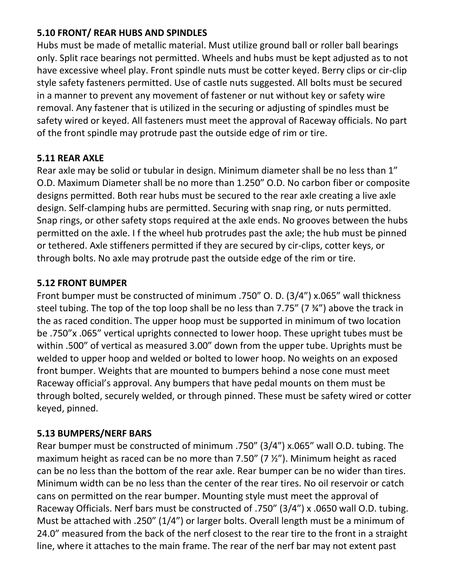#### **5.10 FRONT/ REAR HUBS AND SPINDLES**

Hubs must be made of metallic material. Must utilize ground ball or roller ball bearings only. Split race bearings not permitted. Wheels and hubs must be kept adjusted as to not have excessive wheel play. Front spindle nuts must be cotter keyed. Berry clips or cir-clip style safety fasteners permitted. Use of castle nuts suggested. All bolts must be secured in a manner to prevent any movement of fastener or nut without key or safety wire removal. Any fastener that is utilized in the securing or adjusting of spindles must be safety wired or keyed. All fasteners must meet the approval of Raceway officials. No part of the front spindle may protrude past the outside edge of rim or tire.

### **5.11 REAR AXLE**

Rear axle may be solid or tubular in design. Minimum diameter shall be no less than 1" O.D. Maximum Diameter shall be no more than 1.250" O.D. No carbon fiber or composite designs permitted. Both rear hubs must be secured to the rear axle creating a live axle design. Self-clamping hubs are permitted. Securing with snap ring, or nuts permitted. Snap rings, or other safety stops required at the axle ends. No grooves between the hubs permitted on the axle. I f the wheel hub protrudes past the axle; the hub must be pinned or tethered. Axle stiffeners permitted if they are secured by cir-clips, cotter keys, or through bolts. No axle may protrude past the outside edge of the rim or tire.

### **5.12 FRONT BUMPER**

Front bumper must be constructed of minimum .750" O. D. (3/4") x.065" wall thickness steel tubing. The top of the top loop shall be no less than 7.75" (7 ¾") above the track in the as raced condition. The upper hoop must be supported in minimum of two location be .750"x .065" vertical uprights connected to lower hoop. These upright tubes must be within .500" of vertical as measured 3.00" down from the upper tube. Uprights must be welded to upper hoop and welded or bolted to lower hoop. No weights on an exposed front bumper. Weights that are mounted to bumpers behind a nose cone must meet Raceway official's approval. Any bumpers that have pedal mounts on them must be through bolted, securely welded, or through pinned. These must be safety wired or cotter keyed, pinned.

## **5.13 BUMPERS/NERF BARS**

Rear bumper must be constructed of minimum .750" (3/4") x.065" wall O.D. tubing. The maximum height as raced can be no more than 7.50" (7 ½"). Minimum height as raced can be no less than the bottom of the rear axle. Rear bumper can be no wider than tires. Minimum width can be no less than the center of the rear tires. No oil reservoir or catch cans on permitted on the rear bumper. Mounting style must meet the approval of Raceway Officials. Nerf bars must be constructed of .750" (3/4") x .0650 wall O.D. tubing. Must be attached with .250" (1/4") or larger bolts. Overall length must be a minimum of 24.0" measured from the back of the nerf closest to the rear tire to the front in a straight line, where it attaches to the main frame. The rear of the nerf bar may not extent past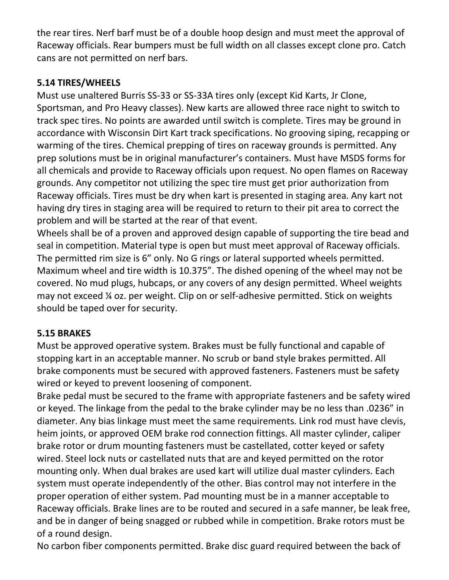the rear tires. Nerf barf must be of a double hoop design and must meet the approval of Raceway officials. Rear bumpers must be full width on all classes except clone pro. Catch cans are not permitted on nerf bars.

### **5.14 TIRES/WHEELS**

Must use unaltered Burris SS-33 or SS-33A tires only (except Kid Karts, Jr Clone, Sportsman, and Pro Heavy classes). New karts are allowed three race night to switch to track spec tires. No points are awarded until switch is complete. Tires may be ground in accordance with Wisconsin Dirt Kart track specifications. No grooving siping, recapping or warming of the tires. Chemical prepping of tires on raceway grounds is permitted. Any prep solutions must be in original manufacturer's containers. Must have MSDS forms for all chemicals and provide to Raceway officials upon request. No open flames on Raceway grounds. Any competitor not utilizing the spec tire must get prior authorization from Raceway officials. Tires must be dry when kart is presented in staging area. Any kart not having dry tires in staging area will be required to return to their pit area to correct the problem and will be started at the rear of that event.

Wheels shall be of a proven and approved design capable of supporting the tire bead and seal in competition. Material type is open but must meet approval of Raceway officials. The permitted rim size is 6" only. No G rings or lateral supported wheels permitted. Maximum wheel and tire width is 10.375". The dished opening of the wheel may not be covered. No mud plugs, hubcaps, or any covers of any design permitted. Wheel weights may not exceed ¼ oz. per weight. Clip on or self-adhesive permitted. Stick on weights should be taped over for security.

#### **5.15 BRAKES**

Must be approved operative system. Brakes must be fully functional and capable of stopping kart in an acceptable manner. No scrub or band style brakes permitted. All brake components must be secured with approved fasteners. Fasteners must be safety wired or keyed to prevent loosening of component.

Brake pedal must be secured to the frame with appropriate fasteners and be safety wired or keyed. The linkage from the pedal to the brake cylinder may be no less than .0236" in diameter. Any bias linkage must meet the same requirements. Link rod must have clevis, heim joints, or approved OEM brake rod connection fittings. All master cylinder, caliper brake rotor or drum mounting fasteners must be castellated, cotter keyed or safety wired. Steel lock nuts or castellated nuts that are and keyed permitted on the rotor mounting only. When dual brakes are used kart will utilize dual master cylinders. Each system must operate independently of the other. Bias control may not interfere in the proper operation of either system. Pad mounting must be in a manner acceptable to Raceway officials. Brake lines are to be routed and secured in a safe manner, be leak free, and be in danger of being snagged or rubbed while in competition. Brake rotors must be of a round design.

No carbon fiber components permitted. Brake disc guard required between the back of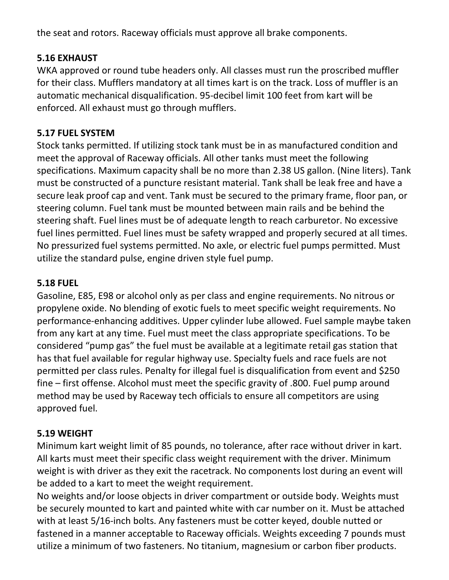the seat and rotors. Raceway officials must approve all brake components.

#### **5.16 EXHAUST**

WKA approved or round tube headers only. All classes must run the proscribed muffler for their class. Mufflers mandatory at all times kart is on the track. Loss of muffler is an automatic mechanical disqualification. 95-decibel limit 100 feet from kart will be enforced. All exhaust must go through mufflers.

## **5.17 FUEL SYSTEM**

Stock tanks permitted. If utilizing stock tank must be in as manufactured condition and meet the approval of Raceway officials. All other tanks must meet the following specifications. Maximum capacity shall be no more than 2.38 US gallon. (Nine liters). Tank must be constructed of a puncture resistant material. Tank shall be leak free and have a secure leak proof cap and vent. Tank must be secured to the primary frame, floor pan, or steering column. Fuel tank must be mounted between main rails and be behind the steering shaft. Fuel lines must be of adequate length to reach carburetor. No excessive fuel lines permitted. Fuel lines must be safety wrapped and properly secured at all times. No pressurized fuel systems permitted. No axle, or electric fuel pumps permitted. Must utilize the standard pulse, engine driven style fuel pump.

## **5.18 FUEL**

Gasoline, E85, E98 or alcohol only as per class and engine requirements. No nitrous or propylene oxide. No blending of exotic fuels to meet specific weight requirements. No performance-enhancing additives. Upper cylinder lube allowed. Fuel sample maybe taken from any kart at any time. Fuel must meet the class appropriate specifications. To be considered "pump gas" the fuel must be available at a legitimate retail gas station that has that fuel available for regular highway use. Specialty fuels and race fuels are not permitted per class rules. Penalty for illegal fuel is disqualification from event and \$250 fine – first offense. Alcohol must meet the specific gravity of .800. Fuel pump around method may be used by Raceway tech officials to ensure all competitors are using approved fuel.

## **5.19 WEIGHT**

Minimum kart weight limit of 85 pounds, no tolerance, after race without driver in kart. All karts must meet their specific class weight requirement with the driver. Minimum weight is with driver as they exit the racetrack. No components lost during an event will be added to a kart to meet the weight requirement.

No weights and/or loose objects in driver compartment or outside body. Weights must be securely mounted to kart and painted white with car number on it. Must be attached with at least 5/16-inch bolts. Any fasteners must be cotter keyed, double nutted or fastened in a manner acceptable to Raceway officials. Weights exceeding 7 pounds must utilize a minimum of two fasteners. No titanium, magnesium or carbon fiber products.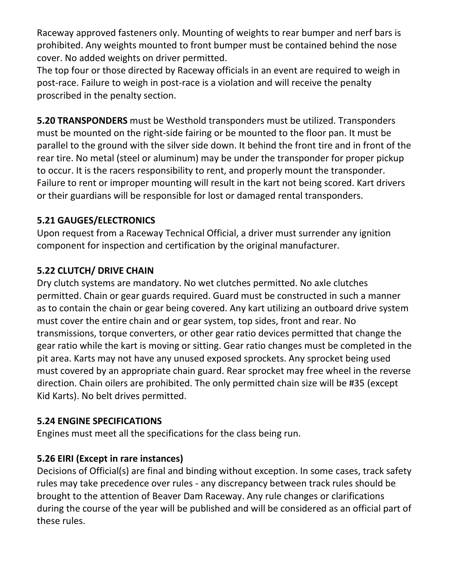Raceway approved fasteners only. Mounting of weights to rear bumper and nerf bars is prohibited. Any weights mounted to front bumper must be contained behind the nose cover. No added weights on driver permitted.

The top four or those directed by Raceway officials in an event are required to weigh in post-race. Failure to weigh in post-race is a violation and will receive the penalty proscribed in the penalty section.

**5.20 TRANSPONDERS** must be Westhold transponders must be utilized. Transponders must be mounted on the right-side fairing or be mounted to the floor pan. It must be parallel to the ground with the silver side down. It behind the front tire and in front of the rear tire. No metal (steel or aluminum) may be under the transponder for proper pickup to occur. It is the racers responsibility to rent, and properly mount the transponder. Failure to rent or improper mounting will result in the kart not being scored. Kart drivers or their guardians will be responsible for lost or damaged rental transponders.

### **5.21 GAUGES/ELECTRONICS**

Upon request from a Raceway Technical Official, a driver must surrender any ignition component for inspection and certification by the original manufacturer.

## **5.22 CLUTCH/ DRIVE CHAIN**

Dry clutch systems are mandatory. No wet clutches permitted. No axle clutches permitted. Chain or gear guards required. Guard must be constructed in such a manner as to contain the chain or gear being covered. Any kart utilizing an outboard drive system must cover the entire chain and or gear system, top sides, front and rear. No transmissions, torque converters, or other gear ratio devices permitted that change the gear ratio while the kart is moving or sitting. Gear ratio changes must be completed in the pit area. Karts may not have any unused exposed sprockets. Any sprocket being used must covered by an appropriate chain guard. Rear sprocket may free wheel in the reverse direction. Chain oilers are prohibited. The only permitted chain size will be #35 (except Kid Karts). No belt drives permitted.

#### **5.24 ENGINE SPECIFICATIONS**

Engines must meet all the specifications for the class being run.

#### **5.26 EIRI (Except in rare instances)**

Decisions of Official(s) are final and binding without exception. In some cases, track safety rules may take precedence over rules - any discrepancy between track rules should be brought to the attention of Beaver Dam Raceway. Any rule changes or clarifications during the course of the year will be published and will be considered as an official part of these rules.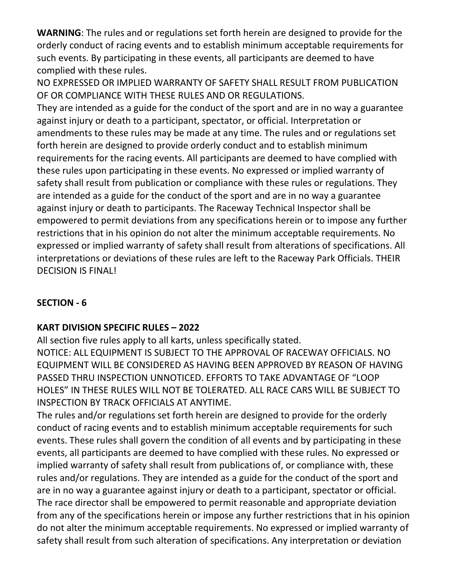**WARNING**: The rules and or regulations set forth herein are designed to provide for the orderly conduct of racing events and to establish minimum acceptable requirements for such events. By participating in these events, all participants are deemed to have complied with these rules.

NO EXPRESSED OR IMPLIED WARRANTY OF SAFETY SHALL RESULT FROM PUBLICATION OF OR COMPLIANCE WITH THESE RULES AND OR REGULATIONS.

They are intended as a guide for the conduct of the sport and are in no way a guarantee against injury or death to a participant, spectator, or official. Interpretation or amendments to these rules may be made at any time. The rules and or regulations set forth herein are designed to provide orderly conduct and to establish minimum requirements for the racing events. All participants are deemed to have complied with these rules upon participating in these events. No expressed or implied warranty of safety shall result from publication or compliance with these rules or regulations. They are intended as a guide for the conduct of the sport and are in no way a guarantee against injury or death to participants. The Raceway Technical Inspector shall be empowered to permit deviations from any specifications herein or to impose any further restrictions that in his opinion do not alter the minimum acceptable requirements. No expressed or implied warranty of safety shall result from alterations of specifications. All interpretations or deviations of these rules are left to the Raceway Park Officials. THEIR DECISION IS FINAL!

#### **SECTION - 6**

## **KART DIVISION SPECIFIC RULES – 2022**

All section five rules apply to all karts, unless specifically stated. NOTICE: ALL EQUIPMENT IS SUBJECT TO THE APPROVAL OF RACEWAY OFFICIALS. NO EQUIPMENT WILL BE CONSIDERED AS HAVING BEEN APPROVED BY REASON OF HAVING PASSED THRU INSPECTION UNNOTICED. EFFORTS TO TAKE ADVANTAGE OF "LOOP HOLES" IN THESE RULES WILL NOT BE TOLERATED. ALL RACE CARS WILL BE SUBJECT TO INSPECTION BY TRACK OFFICIALS AT ANYTIME.

The rules and/or regulations set forth herein are designed to provide for the orderly conduct of racing events and to establish minimum acceptable requirements for such events. These rules shall govern the condition of all events and by participating in these events, all participants are deemed to have complied with these rules. No expressed or implied warranty of safety shall result from publications of, or compliance with, these rules and/or regulations. They are intended as a guide for the conduct of the sport and are in no way a guarantee against injury or death to a participant, spectator or official. The race director shall be empowered to permit reasonable and appropriate deviation from any of the specifications herein or impose any further restrictions that in his opinion do not alter the minimum acceptable requirements. No expressed or implied warranty of safety shall result from such alteration of specifications. Any interpretation or deviation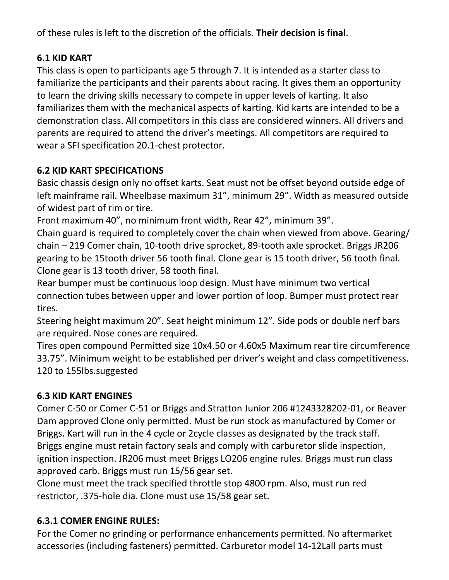of these rules is left to the discretion of the officials. **Their decision is final**.

## **6.1 KID KART**

This class is open to participants age 5 through 7. It is intended as a starter class to familiarize the participants and their parents about racing. It gives them an opportunity to learn the driving skills necessary to compete in upper levels of karting. It also familiarizes them with the mechanical aspects of karting. Kid karts are intended to be a demonstration class. All competitors in this class are considered winners. All drivers and parents are required to attend the driver's meetings. All competitors are required to wear a SFI specification 20.1-chest protector.

## **6.2 KID KART SPECIFICATIONS**

Basic chassis design only no offset karts. Seat must not be offset beyond outside edge of left mainframe rail. Wheelbase maximum 31", minimum 29". Width as measured outside of widest part of rim or tire.

Front maximum 40", no minimum front width, Rear 42", minimum 39".

Chain guard is required to completely cover the chain when viewed from above. Gearing/ chain – 219 Comer chain, 10-tooth drive sprocket, 89-tooth axle sprocket. Briggs JR206 gearing to be 15tooth driver 56 tooth final. Clone gear is 15 tooth driver, 56 tooth final. Clone gear is 13 tooth driver, 58 tooth final.

Rear bumper must be continuous loop design. Must have minimum two vertical connection tubes between upper and lower portion of loop. Bumper must protect rear tires.

Steering height maximum 20". Seat height minimum 12". Side pods or double nerf bars are required. Nose cones are required.

Tires open compound Permitted size 10x4.50 or 4.60x5 Maximum rear tire circumference 33.75". Minimum weight to be established per driver's weight and class competitiveness. 120 to 155lbs.suggested

## **6.3 KID KART ENGINES**

Comer C-50 or Comer C-51 or Briggs and Stratton Junior 206 #1243328202-01, or Beaver Dam approved Clone only permitted. Must be run stock as manufactured by Comer or Briggs. Kart will run in the 4 cycle or 2cycle classes as designated by the track staff. Briggs engine must retain factory seals and comply with carburetor slide inspection, ignition inspection. JR206 must meet Briggs LO206 engine rules. Briggs must run class approved carb. Briggs must run 15/56 gear set.

Clone must meet the track specified throttle stop 4800 rpm. Also, must run red restrictor, .375-hole dia. Clone must use 15/58 gear set.

## **6.3.1 COMER ENGINE RULES:**

For the Comer no grinding or performance enhancements permitted. No aftermarket accessories (including fasteners) permitted. Carburetor model 14-12Lall parts must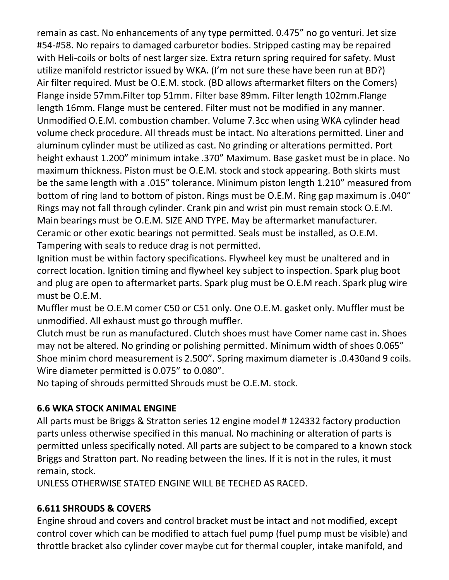remain as cast. No enhancements of any type permitted. 0.475" no go venturi. Jet size #54-#58. No repairs to damaged carburetor bodies. Stripped casting may be repaired with Heli-coils or bolts of nest larger size. Extra return spring required for safety. Must utilize manifold restrictor issued by WKA. (I'm not sure these have been run at BD?) Air filter required. Must be O.E.M. stock. (BD allows aftermarket filters on the Comers) Flange inside 57mm.Filter top 51mm. Filter base 89mm. Filter length 102mm.Flange length 16mm. Flange must be centered. Filter must not be modified in any manner. Unmodified O.E.M. combustion chamber. Volume 7.3cc when using WKA cylinder head volume check procedure. All threads must be intact. No alterations permitted. Liner and aluminum cylinder must be utilized as cast. No grinding or alterations permitted. Port height exhaust 1.200" minimum intake .370" Maximum. Base gasket must be in place. No maximum thickness. Piston must be O.E.M. stock and stock appearing. Both skirts must be the same length with a .015" tolerance. Minimum piston length 1.210" measured from bottom of ring land to bottom of piston. Rings must be O.E.M. Ring gap maximum is .040" Rings may not fall through cylinder. Crank pin and wrist pin must remain stock O.E.M. Main bearings must be O.E.M. SIZE AND TYPE. May be aftermarket manufacturer. Ceramic or other exotic bearings not permitted. Seals must be installed, as O.E.M. Tampering with seals to reduce drag is not permitted.

Ignition must be within factory specifications. Flywheel key must be unaltered and in correct location. Ignition timing and flywheel key subject to inspection. Spark plug boot and plug are open to aftermarket parts. Spark plug must be O.E.M reach. Spark plug wire must be O.E.M.

Muffler must be O.E.M comer C50 or C51 only. One O.E.M. gasket only. Muffler must be unmodified. All exhaust must go through muffler.

Clutch must be run as manufactured. Clutch shoes must have Comer name cast in. Shoes may not be altered. No grinding or polishing permitted. Minimum width of shoes 0.065" Shoe minim chord measurement is 2.500". Spring maximum diameter is .0.430and 9 coils. Wire diameter permitted is 0.075" to 0.080".

No taping of shrouds permitted Shrouds must be O.E.M. stock.

#### **6.6 WKA STOCK ANIMAL ENGINE**

All parts must be Briggs & Stratton series 12 engine model # 124332 factory production parts unless otherwise specified in this manual. No machining or alteration of parts is permitted unless specifically noted. All parts are subject to be compared to a known stock Briggs and Stratton part. No reading between the lines. If it is not in the rules, it must remain, stock.

UNLESS OTHERWISE STATED ENGINE WILL BE TECHED AS RACED.

#### **6.611 SHROUDS & COVERS**

Engine shroud and covers and control bracket must be intact and not modified, except control cover which can be modified to attach fuel pump (fuel pump must be visible) and throttle bracket also cylinder cover maybe cut for thermal coupler, intake manifold, and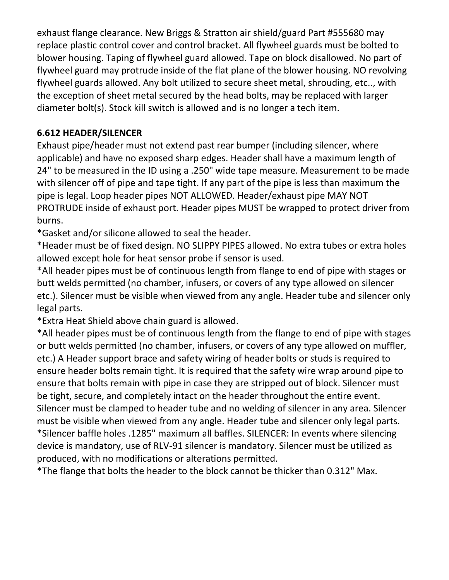exhaust flange clearance. New Briggs & Stratton air shield/guard Part #555680 may replace plastic control cover and control bracket. All flywheel guards must be bolted to blower housing. Taping of flywheel guard allowed. Tape on block disallowed. No part of flywheel guard may protrude inside of the flat plane of the blower housing. NO revolving flywheel guards allowed. Any bolt utilized to secure sheet metal, shrouding, etc.., with the exception of sheet metal secured by the head bolts, may be replaced with larger diameter bolt(s). Stock kill switch is allowed and is no longer a tech item.

### **6.612 HEADER/SILENCER**

Exhaust pipe/header must not extend past rear bumper (including silencer, where applicable) and have no exposed sharp edges. Header shall have a maximum length of 24" to be measured in the ID using a .250" wide tape measure. Measurement to be made with silencer off of pipe and tape tight. If any part of the pipe is less than maximum the pipe is legal. Loop header pipes NOT ALLOWED. Header/exhaust pipe MAY NOT PROTRUDE inside of exhaust port. Header pipes MUST be wrapped to protect driver from burns.

\*Gasket and/or silicone allowed to seal the header.

\*Header must be of fixed design. NO SLIPPY PIPES allowed. No extra tubes or extra holes allowed except hole for heat sensor probe if sensor is used.

\*All header pipes must be of continuous length from flange to end of pipe with stages or butt welds permitted (no chamber, infusers, or covers of any type allowed on silencer etc.). Silencer must be visible when viewed from any angle. Header tube and silencer only legal parts.

\*Extra Heat Shield above chain guard is allowed.

\*All header pipes must be of continuous length from the flange to end of pipe with stages or butt welds permitted (no chamber, infusers, or covers of any type allowed on muffler, etc.) A Header support brace and safety wiring of header bolts or studs is required to ensure header bolts remain tight. It is required that the safety wire wrap around pipe to ensure that bolts remain with pipe in case they are stripped out of block. Silencer must be tight, secure, and completely intact on the header throughout the entire event. Silencer must be clamped to header tube and no welding of silencer in any area. Silencer must be visible when viewed from any angle. Header tube and silencer only legal parts. \*Silencer baffle holes .1285" maximum all baffles. SILENCER: In events where silencing device is mandatory, use of RLV-91 silencer is mandatory. Silencer must be utilized as produced, with no modifications or alterations permitted.

\*The flange that bolts the header to the block cannot be thicker than 0.312" Max.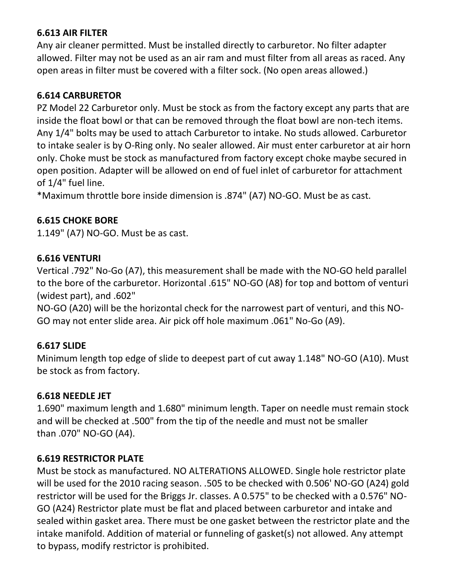#### **6.613 AIR FILTER**

Any air cleaner permitted. Must be installed directly to carburetor. No filter adapter allowed. Filter may not be used as an air ram and must filter from all areas as raced. Any open areas in filter must be covered with a filter sock. (No open areas allowed.)

#### **6.614 CARBURETOR**

PZ Model 22 Carburetor only. Must be stock as from the factory except any parts that are inside the float bowl or that can be removed through the float bowl are non-tech items. Any 1/4" bolts may be used to attach Carburetor to intake. No studs allowed. Carburetor to intake sealer is by O-Ring only. No sealer allowed. Air must enter carburetor at air horn only. Choke must be stock as manufactured from factory except choke maybe secured in open position. Adapter will be allowed on end of fuel inlet of carburetor for attachment of 1/4" fuel line.

\*Maximum throttle bore inside dimension is .874" (A7) NO-GO. Must be as cast.

#### **6.615 CHOKE BORE**

1.149" (A7) NO-GO. Must be as cast.

#### **6.616 VENTURI**

Vertical .792" No-Go (A7), this measurement shall be made with the NO-GO held parallel to the bore of the carburetor. Horizontal .615" NO-GO (A8) for top and bottom of venturi (widest part), and .602"

NO-GO (A20) will be the horizontal check for the narrowest part of venturi, and this NO-GO may not enter slide area. Air pick off hole maximum .061" No-Go (A9).

#### **6.617 SLIDE**

Minimum length top edge of slide to deepest part of cut away 1.148" NO-GO (A10). Must be stock as from factory.

#### **6.618 NEEDLE JET**

1.690" maximum length and 1.680" minimum length. Taper on needle must remain stock and will be checked at .500" from the tip of the needle and must not be smaller than .070" NO-GO (A4).

#### **6.619 RESTRICTOR PLATE**

Must be stock as manufactured. NO ALTERATIONS ALLOWED. Single hole restrictor plate will be used for the 2010 racing season. .505 to be checked with 0.506' NO-GO (A24) gold restrictor will be used for the Briggs Jr. classes. A 0.575" to be checked with a 0.576" NO-GO (A24) Restrictor plate must be flat and placed between carburetor and intake and sealed within gasket area. There must be one gasket between the restrictor plate and the intake manifold. Addition of material or funneling of gasket(s) not allowed. Any attempt to bypass, modify restrictor is prohibited.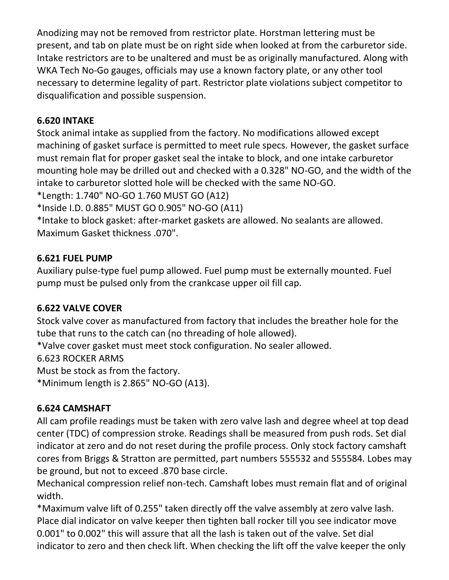Anodizing may not be removed from restrictor plate. Horstman lettering must be present, and tab on plate must be on right side when looked at from the carburetor side. Intake restrictors are to be unaltered and must be as originally manufactured. Along with WKA Tech No-Go gauges, officials may use a known factory plate, or any other tool necessary to determine legality of part. Restrictor plate violations subject competitor to disqualification and possible suspension.

### **6.620 INTAKE**

Stock animal intake as supplied from the factory. No modifications allowed except machining of gasket surface is permitted to meet rule specs. However, the gasket surface must remain flat for proper gasket seal the intake to block, and one intake carburetor mounting hole may be drilled out and checked with a 0.328" NO-GO, and the width of the intake to carburetor slotted hole will be checked with the same NO-GO.

\*Length: 1.740" NO-GO 1.760 MUST GO (A12)

\*Inside I.D. 0.885" MUST GO 0.905" NO-GO (A11)

\*Intake to block gasket: after-market gaskets are allowed. No sealants are allowed. Maximum Gasket thickness .070".

### **6.621 FUEL PUMP**

Auxiliary pulse-type fuel pump allowed. Fuel pump must be externally mounted. Fuel pump must be pulsed only from the crankcase upper oil fill cap.

#### **6.622 VALVE COVER**

Stock valve cover as manufactured from factory that includes the breather hole for the tube that runs to the catch can (no threading of hole allowed).

\*Valve cover gasket must meet stock configuration. No sealer allowed.

6.623 ROCKER ARMS

Must be stock as from the factory.

\*Minimum length is 2.865" NO-GO (A13).

## **6.624 CAMSHAFT**

All cam profile readings must be taken with zero valve lash and degree wheel at top dead center (TDC) of compression stroke. Readings shall be measured from push rods. Set dial indicator at zero and do not reset during the profile process. Only stock factory camshaft cores from Briggs & Stratton are permitted, part numbers 555532 and 555584. Lobes may be ground, but not to exceed .870 base circle.

Mechanical compression relief non-tech. Camshaft lobes must remain flat and of original width.

\*Maximum valve lift of 0.255" taken directly off the valve assembly at zero valve lash. Place dial indicator on valve keeper then tighten ball rocker till you see indicator move 0.001" to 0.002" this will assure that all the lash is taken out of the valve. Set dial indicator to zero and then check lift. When checking the lift off the valve keeper the only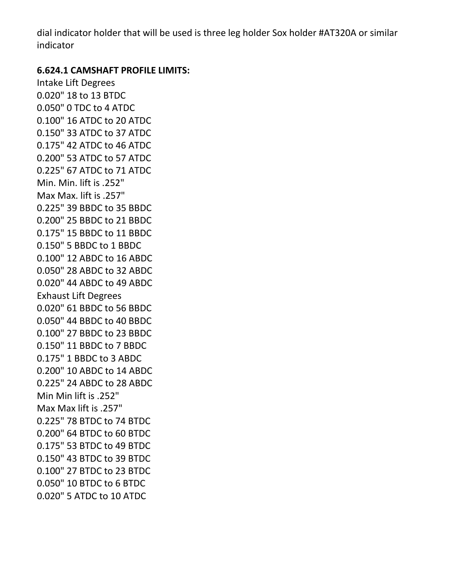dial indicator holder that will be used is three leg holder Sox holder #AT320A or similar indicator

#### **6.624.1 CAMSHAFT PROFILE LIMITS:**

Intake Lift Degrees 0.020" 18 to 13 BTDC 0.050" 0 TDC to 4 ATDC 0.100" 16 ATDC to 20 ATDC 0.150" 33 ATDC to 37 ATDC 0.175" 42 ATDC to 46 ATDC 0.200" 53 ATDC to 57 ATDC 0.225" 67 ATDC to 71 ATDC Min. Min. lift is .252" Max Max. lift is .257" 0.225" 39 BBDC to 35 BBDC 0.200" 25 BBDC to 21 BBDC 0.175" 15 BBDC to 11 BBDC 0.150" 5 BBDC to 1 BBDC 0.100" 12 ABDC to 16 ABDC 0.050" 28 ABDC to 32 ABDC 0.020" 44 ABDC to 49 ABDC Exhaust Lift Degrees 0.020" 61 BBDC to 56 BBDC 0.050" 44 BBDC to 40 BBDC 0.100" 27 BBDC to 23 BBDC 0.150" 11 BBDC to 7 BBDC 0.175" 1 BBDC to 3 ABDC 0.200" 10 ABDC to 14 ABDC 0.225" 24 ABDC to 28 ABDC Min Min lift is .252" Max Max lift is .257" 0.225" 78 BTDC to 74 BTDC 0.200" 64 BTDC to 60 BTDC 0.175" 53 BTDC to 49 BTDC 0.150" 43 BTDC to 39 BTDC 0.100" 27 BTDC to 23 BTDC 0.050" 10 BTDC to 6 BTDC 0.020" 5 ATDC to 10 ATDC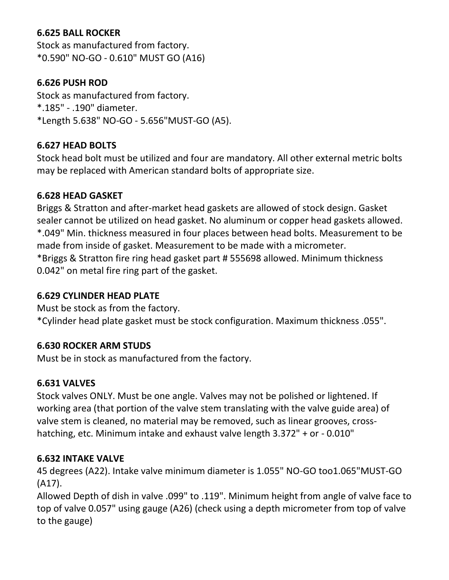#### **6.625 BALL ROCKER**

Stock as manufactured from factory. \*0.590" NO-GO - 0.610" MUST GO (A16)

#### **6.626 PUSH ROD**

Stock as manufactured from factory. \*.185" - .190" diameter. \*Length 5.638" NO-GO - 5.656"MUST-GO (A5).

#### **6.627 HEAD BOLTS**

Stock head bolt must be utilized and four are mandatory. All other external metric bolts may be replaced with American standard bolts of appropriate size.

#### **6.628 HEAD GASKET**

Briggs & Stratton and after-market head gaskets are allowed of stock design. Gasket sealer cannot be utilized on head gasket. No aluminum or copper head gaskets allowed. \*.049" Min. thickness measured in four places between head bolts. Measurement to be made from inside of gasket. Measurement to be made with a micrometer. \*Briggs & Stratton fire ring head gasket part # 555698 allowed. Minimum thickness 0.042" on metal fire ring part of the gasket.

#### **6.629 CYLINDER HEAD PLATE**

Must be stock as from the factory.

\*Cylinder head plate gasket must be stock configuration. Maximum thickness .055".

#### **6.630 ROCKER ARM STUDS**

Must be in stock as manufactured from the factory.

#### **6.631 VALVES**

Stock valves ONLY. Must be one angle. Valves may not be polished or lightened. If working area (that portion of the valve stem translating with the valve guide area) of valve stem is cleaned, no material may be removed, such as linear grooves, crosshatching, etc. Minimum intake and exhaust valve length 3.372" + or - 0.010"

#### **6.632 INTAKE VALVE**

45 degrees (A22). Intake valve minimum diameter is 1.055" NO-GO too1.065"MUST-GO (A17).

Allowed Depth of dish in valve .099" to .119". Minimum height from angle of valve face to top of valve 0.057" using gauge (A26) (check using a depth micrometer from top of valve to the gauge)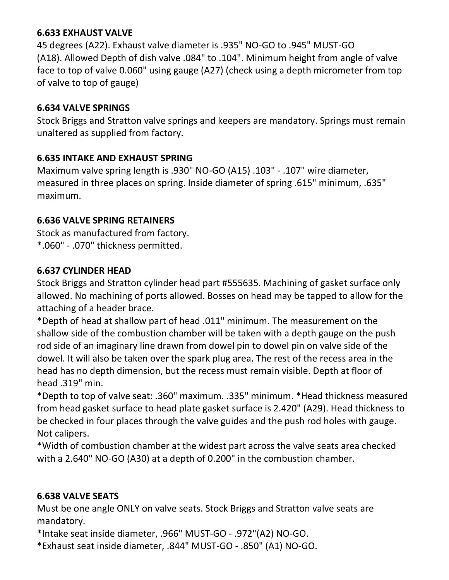#### **6.633 EXHAUST VALVE**

45 degrees (A22). Exhaust valve diameter is .935" NO-GO to .945" MUST-GO (A18). Allowed Depth of dish valve .084" to .104". Minimum height from angle of valve face to top of valve 0.060" using gauge (A27) (check using a depth micrometer from top of valve to top of gauge)

#### **6.634 VALVE SPRINGS**

Stock Briggs and Stratton valve springs and keepers are mandatory. Springs must remain unaltered as supplied from factory.

#### **6.635 INTAKE AND EXHAUST SPRING**

Maximum valve spring length is .930" NO-GO (A15) .103" - .107" wire diameter, measured in three places on spring. Inside diameter of spring .615" minimum, .635" maximum.

#### **6.636 VALVE SPRING RETAINERS**

Stock as manufactured from factory. \*.060" - .070" thickness permitted.

#### **6.637 CYLINDER HEAD**

Stock Briggs and Stratton cylinder head part #555635. Machining of gasket surface only allowed. No machining of ports allowed. Bosses on head may be tapped to allow for the attaching of a header brace.

\*Depth of head at shallow part of head .011" minimum. The measurement on the shallow side of the combustion chamber will be taken with a depth gauge on the push rod side of an imaginary line drawn from dowel pin to dowel pin on valve side of the dowel. It will also be taken over the spark plug area. The rest of the recess area in the head has no depth dimension, but the recess must remain visible. Depth at floor of head .319" min.

\*Depth to top of valve seat: .360" maximum. .335" minimum. \*Head thickness measured from head gasket surface to head plate gasket surface is 2.420" (A29). Head thickness to be checked in four places through the valve guides and the push rod holes with gauge. Not calipers.

\*Width of combustion chamber at the widest part across the valve seats area checked with a 2.640" NO-GO (A30) at a depth of 0.200" in the combustion chamber.

#### **6.638 VALVE SEATS**

Must be one angle ONLY on valve seats. Stock Briggs and Stratton valve seats are mandatory.

\*Intake seat inside diameter, .966" MUST-GO - .972"(A2) NO-GO.

\*Exhaust seat inside diameter, .844" MUST-GO - .850" (A1) NO-GO.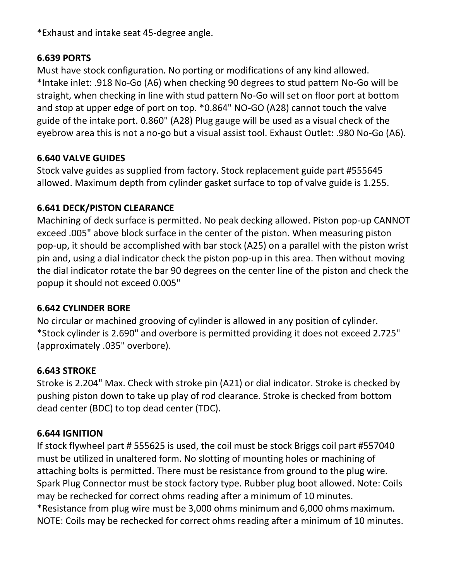\*Exhaust and intake seat 45-degree angle.

#### **6.639 PORTS**

Must have stock configuration. No porting or modifications of any kind allowed. \*Intake inlet: .918 No-Go (A6) when checking 90 degrees to stud pattern No-Go will be straight, when checking in line with stud pattern No-Go will set on floor port at bottom and stop at upper edge of port on top. \*0.864" NO-GO (A28) cannot touch the valve guide of the intake port. 0.860" (A28) Plug gauge will be used as a visual check of the eyebrow area this is not a no-go but a visual assist tool. Exhaust Outlet: .980 No-Go (A6).

## **6.640 VALVE GUIDES**

Stock valve guides as supplied from factory. Stock replacement guide part #555645 allowed. Maximum depth from cylinder gasket surface to top of valve guide is 1.255.

### **6.641 DECK/PISTON CLEARANCE**

Machining of deck surface is permitted. No peak decking allowed. Piston pop-up CANNOT exceed .005" above block surface in the center of the piston. When measuring piston pop-up, it should be accomplished with bar stock (A25) on a parallel with the piston wrist pin and, using a dial indicator check the piston pop-up in this area. Then without moving the dial indicator rotate the bar 90 degrees on the center line of the piston and check the popup it should not exceed 0.005"

#### **6.642 CYLINDER BORE**

No circular or machined grooving of cylinder is allowed in any position of cylinder. \*Stock cylinder is 2.690" and overbore is permitted providing it does not exceed 2.725" (approximately .035" overbore).

#### **6.643 STROKE**

Stroke is 2.204" Max. Check with stroke pin (A21) or dial indicator. Stroke is checked by pushing piston down to take up play of rod clearance. Stroke is checked from bottom dead center (BDC) to top dead center (TDC).

#### **6.644 IGNITION**

If stock flywheel part # 555625 is used, the coil must be stock Briggs coil part #557040 must be utilized in unaltered form. No slotting of mounting holes or machining of attaching bolts is permitted. There must be resistance from ground to the plug wire. Spark Plug Connector must be stock factory type. Rubber plug boot allowed. Note: Coils may be rechecked for correct ohms reading after a minimum of 10 minutes. \*Resistance from plug wire must be 3,000 ohms minimum and 6,000 ohms maximum. NOTE: Coils may be rechecked for correct ohms reading after a minimum of 10 minutes.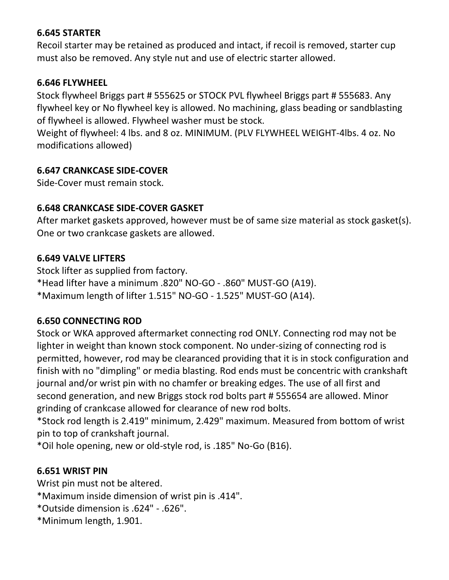#### **6.645 STARTER**

Recoil starter may be retained as produced and intact, if recoil is removed, starter cup must also be removed. Any style nut and use of electric starter allowed.

#### **6.646 FLYWHEEL**

Stock flywheel Briggs part # 555625 or STOCK PVL flywheel Briggs part # 555683. Any flywheel key or No flywheel key is allowed. No machining, glass beading or sandblasting of flywheel is allowed. Flywheel washer must be stock.

Weight of flywheel: 4 lbs. and 8 oz. MINIMUM. (PLV FLYWHEEL WEIGHT-4lbs. 4 oz. No modifications allowed)

#### **6.647 CRANKCASE SIDE-COVER**

Side-Cover must remain stock.

#### **6.648 CRANKCASE SIDE-COVER GASKET**

After market gaskets approved, however must be of same size material as stock gasket(s). One or two crankcase gaskets are allowed.

#### **6.649 VALVE LIFTERS**

Stock lifter as supplied from factory. \*Head lifter have a minimum .820" NO-GO - .860" MUST-GO (A19). \*Maximum length of lifter 1.515" NO-GO - 1.525" MUST-GO (A14).

#### **6.650 CONNECTING ROD**

Stock or WKA approved aftermarket connecting rod ONLY. Connecting rod may not be lighter in weight than known stock component. No under-sizing of connecting rod is permitted, however, rod may be clearanced providing that it is in stock configuration and finish with no "dimpling" or media blasting. Rod ends must be concentric with crankshaft journal and/or wrist pin with no chamfer or breaking edges. The use of all first and second generation, and new Briggs stock rod bolts part # 555654 are allowed. Minor grinding of crankcase allowed for clearance of new rod bolts.

\*Stock rod length is 2.419" minimum, 2.429" maximum. Measured from bottom of wrist pin to top of crankshaft journal.

\*Oil hole opening, new or old-style rod, is .185" No-Go (B16).

#### **6.651 WRIST PIN**

Wrist pin must not be altered.

- \*Maximum inside dimension of wrist pin is .414".
- \*Outside dimension is .624" .626".
- \*Minimum length, 1.901.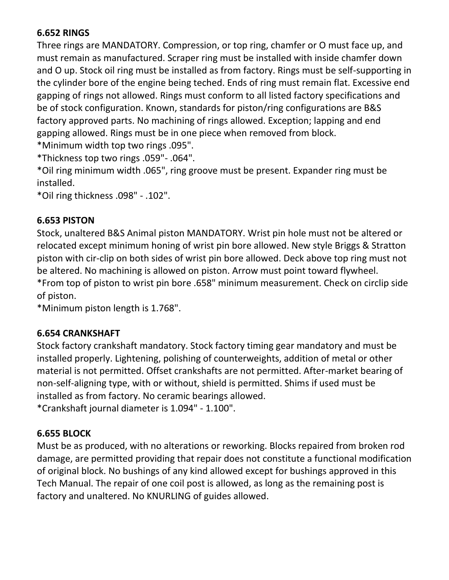#### **6.652 RINGS**

Three rings are MANDATORY. Compression, or top ring, chamfer or O must face up, and must remain as manufactured. Scraper ring must be installed with inside chamfer down and O up. Stock oil ring must be installed as from factory. Rings must be self-supporting in the cylinder bore of the engine being teched. Ends of ring must remain flat. Excessive end gapping of rings not allowed. Rings must conform to all listed factory specifications and be of stock configuration. Known, standards for piston/ring configurations are B&S factory approved parts. No machining of rings allowed. Exception; lapping and end gapping allowed. Rings must be in one piece when removed from block.

\*Minimum width top two rings .095".

\*Thickness top two rings .059"- .064".

\*Oil ring minimum width .065", ring groove must be present. Expander ring must be installed.

\*Oil ring thickness .098" - .102".

#### **6.653 PISTON**

Stock, unaltered B&S Animal piston MANDATORY. Wrist pin hole must not be altered or relocated except minimum honing of wrist pin bore allowed. New style Briggs & Stratton piston with cir-clip on both sides of wrist pin bore allowed. Deck above top ring must not be altered. No machining is allowed on piston. Arrow must point toward flywheel. \*From top of piston to wrist pin bore .658" minimum measurement. Check on circlip side of piston.

\*Minimum piston length is 1.768".

#### **6.654 CRANKSHAFT**

Stock factory crankshaft mandatory. Stock factory timing gear mandatory and must be installed properly. Lightening, polishing of counterweights, addition of metal or other material is not permitted. Offset crankshafts are not permitted. After-market bearing of non-self-aligning type, with or without, shield is permitted. Shims if used must be installed as from factory. No ceramic bearings allowed.

\*Crankshaft journal diameter is 1.094" - 1.100".

#### **6.655 BLOCK**

Must be as produced, with no alterations or reworking. Blocks repaired from broken rod damage, are permitted providing that repair does not constitute a functional modification of original block. No bushings of any kind allowed except for bushings approved in this Tech Manual. The repair of one coil post is allowed, as long as the remaining post is factory and unaltered. No KNURLING of guides allowed.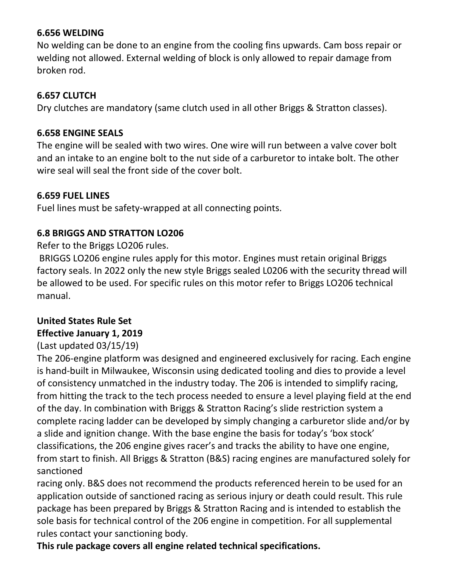#### **6.656 WELDING**

No welding can be done to an engine from the cooling fins upwards. Cam boss repair or welding not allowed. External welding of block is only allowed to repair damage from broken rod.

#### **6.657 CLUTCH**

Dry clutches are mandatory (same clutch used in all other Briggs & Stratton classes).

#### **6.658 ENGINE SEALS**

The engine will be sealed with two wires. One wire will run between a valve cover bolt and an intake to an engine bolt to the nut side of a carburetor to intake bolt. The other wire seal will seal the front side of the cover bolt.

#### **6.659 FUEL LINES**

Fuel lines must be safety-wrapped at all connecting points.

#### **6.8 BRIGGS AND STRATTON LO206**

Refer to the Briggs LO206 rules.

BRIGGS LO206 engine rules apply for this motor. Engines must retain original Briggs factory seals. In 2022 only the new style Briggs sealed L0206 with the security thread will be allowed to be used. For specific rules on this motor refer to Briggs LO206 technical manual.

## **United States Rule Set Effective January 1, 2019**

#### (Last updated 03/15/19)

The 206-engine platform was designed and engineered exclusively for racing. Each engine is hand-built in Milwaukee, Wisconsin using dedicated tooling and dies to provide a level of consistency unmatched in the industry today. The 206 is intended to simplify racing, from hitting the track to the tech process needed to ensure a level playing field at the end of the day. In combination with Briggs & Stratton Racing's slide restriction system a complete racing ladder can be developed by simply changing a carburetor slide and/or by a slide and ignition change. With the base engine the basis for today's 'box stock' classifications, the 206 engine gives racer's and tracks the ability to have one engine, from start to finish. All Briggs & Stratton (B&S) racing engines are manufactured solely for sanctioned

racing only. B&S does not recommend the products referenced herein to be used for an application outside of sanctioned racing as serious injury or death could result. This rule package has been prepared by Briggs & Stratton Racing and is intended to establish the sole basis for technical control of the 206 engine in competition. For all supplemental rules contact your sanctioning body.

**This rule package covers all engine related technical specifications.**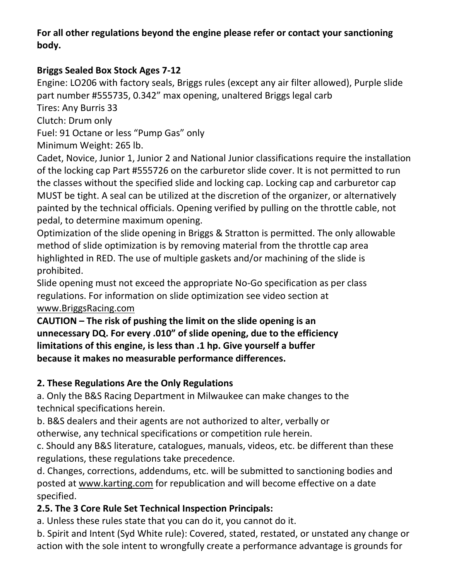### **For all other regulations beyond the engine please refer or contact your sanctioning body.**

## **Briggs Sealed Box Stock Ages 7-12**

Engine: LO206 with factory seals, Briggs rules (except any air filter allowed), Purple slide part number #555735, 0.342" max opening, unaltered Briggs legal carb

Tires: Any Burris 33

Clutch: Drum only

Fuel: 91 Octane or less "Pump Gas" only

Minimum Weight: 265 lb.

Cadet, Novice, Junior 1, Junior 2 and National Junior classifications require the installation of the locking cap Part #555726 on the carburetor slide cover. It is not permitted to run the classes without the specified slide and locking cap. Locking cap and carburetor cap MUST be tight. A seal can be utilized at the discretion of the organizer, or alternatively painted by the technical officials. Opening verified by pulling on the throttle cable, not pedal, to determine maximum opening.

Optimization of the slide opening in Briggs & Stratton is permitted. The only allowable method of slide optimization is by removing material from the throttle cap area highlighted in RED. The use of multiple gaskets and/or machining of the slide is prohibited.

Slide opening must not exceed the appropriate No-Go specification as per class regulations. For information on slide optimization see video section at [www.BriggsRacing.com](file:///C:/Users/kshepard/Downloads/www.BriggsRacing.com)

**CAUTION – The risk of pushing the limit on the slide opening is an unnecessary DQ. For every .010" of slide opening, due to the efficiency limitations of this engine, is less than .1 hp. Give yourself a buffer because it makes no measurable performance differences.** 

## **2. These Regulations Are the Only Regulations**

a. Only the B&S Racing Department in Milwaukee can make changes to the technical specifications herein.

b. B&S dealers and their agents are not authorized to alter, verbally or otherwise, any technical specifications or competition rule herein.

c. Should any B&S literature, catalogues, manuals, videos, etc. be different than these regulations, these regulations take precedence.

d. Changes, corrections, addendums, etc. will be submitted to sanctioning bodies and posted at [www.karting.com](file:///C:/Users/kshepard/Downloads/www.karting.com) for republication and will become effective on a date specified.

## **2.5. The 3 Core Rule Set Technical Inspection Principals:**

a. Unless these rules state that you can do it, you cannot do it.

b. Spirit and Intent (Syd White rule): Covered, stated, restated, or unstated any change or action with the sole intent to wrongfully create a performance advantage is grounds for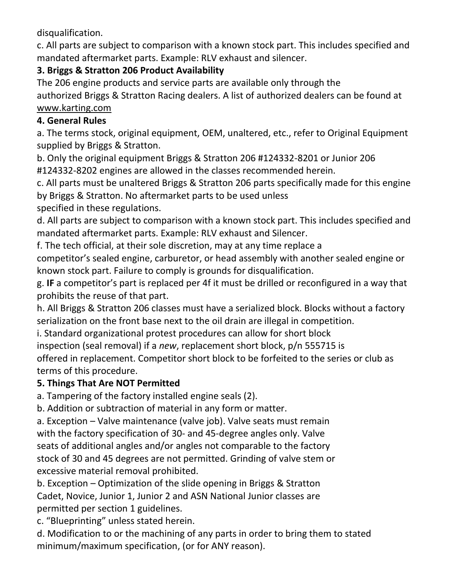disqualification.

c. All parts are subject to comparison with a known stock part. This includes specified and mandated aftermarket parts. Example: RLV exhaust and silencer.

## **3. Briggs & Stratton 206 Product Availability**

The 206 engine products and service parts are available only through the authorized Briggs & Stratton Racing dealers. A list of authorized dealers can be found at [www.karting.com](file:///C:/Users/kshepard/Downloads/www.karting.com)

## **4. General Rules**

a. The terms stock, original equipment, OEM, unaltered, etc., refer to Original Equipment supplied by Briggs & Stratton.

b. Only the original equipment Briggs & Stratton 206 #124332-8201 or Junior 206 #124332-8202 engines are allowed in the classes recommended herein.

c. All parts must be unaltered Briggs & Stratton 206 parts specifically made for this engine by Briggs & Stratton. No aftermarket parts to be used unless

specified in these regulations.

d. All parts are subject to comparison with a known stock part. This includes specified and mandated aftermarket parts. Example: RLV exhaust and Silencer.

f. The tech official, at their sole discretion, may at any time replace a

competitor's sealed engine, carburetor, or head assembly with another sealed engine or known stock part. Failure to comply is grounds for disqualification.

g. **IF** a competitor's part is replaced per 4f it must be drilled or reconfigured in a way that prohibits the reuse of that part.

h. All Briggs & Stratton 206 classes must have a serialized block. Blocks without a factory serialization on the front base next to the oil drain are illegal in competition.

i. Standard organizational protest procedures can allow for short block

inspection (seal removal) if a *new*, replacement short block, p/n 555715 is

offered in replacement. Competitor short block to be forfeited to the series or club as terms of this procedure.

## **5. Things That Are NOT Permitted**

a. Tampering of the factory installed engine seals (2).

b. Addition or subtraction of material in any form or matter.

a. Exception – Valve maintenance (valve job). Valve seats must remain with the factory specification of 30- and 45-degree angles only. Valve seats of additional angles and/or angles not comparable to the factory stock of 30 and 45 degrees are not permitted. Grinding of valve stem or excessive material removal prohibited.

b. Exception – Optimization of the slide opening in Briggs & Stratton Cadet, Novice, Junior 1, Junior 2 and ASN National Junior classes are permitted per section 1 guidelines.

c. "Blueprinting" unless stated herein.

d. Modification to or the machining of any parts in order to bring them to stated minimum/maximum specification, (or for ANY reason).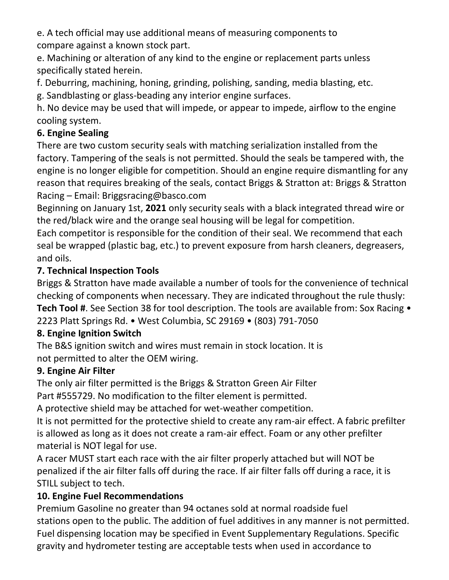e. A tech official may use additional means of measuring components to compare against a known stock part.

e. Machining or alteration of any kind to the engine or replacement parts unless specifically stated herein.

f. Deburring, machining, honing, grinding, polishing, sanding, media blasting, etc.

g. Sandblasting or glass-beading any interior engine surfaces.

h. No device may be used that will impede, or appear to impede, airflow to the engine cooling system.

## **6. Engine Sealing**

There are two custom security seals with matching serialization installed from the factory. Tampering of the seals is not permitted. Should the seals be tampered with, the engine is no longer eligible for competition. Should an engine require dismantling for any reason that requires breaking of the seals, contact Briggs & Stratton at: Briggs & Stratton Racing – Email: Briggsracing@basco.com

Beginning on January 1st, **2021** only security seals with a black integrated thread wire or the red/black wire and the orange seal housing will be legal for competition.

Each competitor is responsible for the condition of their seal. We recommend that each seal be wrapped (plastic bag, etc.) to prevent exposure from harsh cleaners, degreasers, and oils.

## **7. Technical Inspection Tools**

Briggs & Stratton have made available a number of tools for the convenience of technical checking of components when necessary. They are indicated throughout the rule thusly: **Tech Tool #**. See Section 38 for tool description. The tools are available from: Sox Racing • 2223 Platt Springs Rd. • West Columbia, SC 29169 • (803) 791-7050

## **8. Engine Ignition Switch**

The B&S ignition switch and wires must remain in stock location. It is not permitted to alter the OEM wiring.

## **9. Engine Air Filter**

The only air filter permitted is the Briggs & Stratton Green Air Filter

Part #555729. No modification to the filter element is permitted.

A protective shield may be attached for wet-weather competition.

It is not permitted for the protective shield to create any ram-air effect. A fabric prefilter is allowed as long as it does not create a ram-air effect. Foam or any other prefilter material is NOT legal for use.

A racer MUST start each race with the air filter properly attached but will NOT be penalized if the air filter falls off during the race. If air filter falls off during a race, it is STILL subject to tech.

## **10. Engine Fuel Recommendations**

Premium Gasoline no greater than 94 octanes sold at normal roadside fuel stations open to the public. The addition of fuel additives in any manner is not permitted. Fuel dispensing location may be specified in Event Supplementary Regulations. Specific gravity and hydrometer testing are acceptable tests when used in accordance to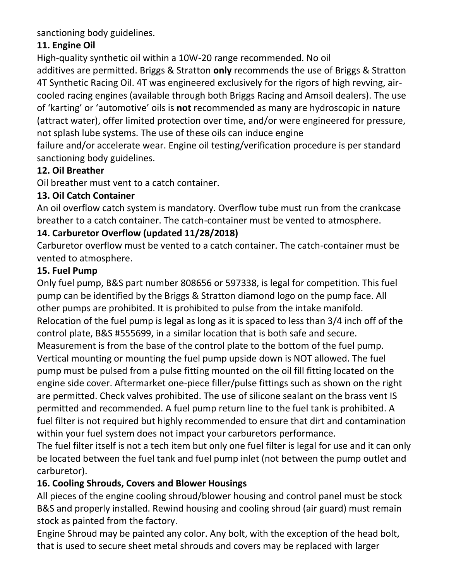sanctioning body guidelines.

## **11. Engine Oil**

High-quality synthetic oil within a 10W-20 range recommended. No oil additives are permitted. Briggs & Stratton **only** recommends the use of Briggs & Stratton 4T Synthetic Racing Oil. 4T was engineered exclusively for the rigors of high revving, aircooled racing engines (available through both Briggs Racing and Amsoil dealers). The use of 'karting' or 'automotive' oils is **not** recommended as many are hydroscopic in nature (attract water), offer limited protection over time, and/or were engineered for pressure, not splash lube systems. The use of these oils can induce engine

failure and/or accelerate wear. Engine oil testing/verification procedure is per standard sanctioning body guidelines.

## **12. Oil Breather**

Oil breather must vent to a catch container.

## **13. Oil Catch Container**

An oil overflow catch system is mandatory. Overflow tube must run from the crankcase breather to a catch container. The catch-container must be vented to atmosphere.

## **14. Carburetor Overflow (updated 11/28/2018)**

Carburetor overflow must be vented to a catch container. The catch-container must be vented to atmosphere.

## **15. Fuel Pump**

Only fuel pump, B&S part number 808656 or 597338, is legal for competition. This fuel pump can be identified by the Briggs & Stratton diamond logo on the pump face. All other pumps are prohibited. It is prohibited to pulse from the intake manifold. Relocation of the fuel pump is legal as long as it is spaced to less than 3/4 inch off of the control plate, B&S #555699, in a similar location that is both safe and secure. Measurement is from the base of the control plate to the bottom of the fuel pump. Vertical mounting or mounting the fuel pump upside down is NOT allowed. The fuel pump must be pulsed from a pulse fitting mounted on the oil fill fitting located on the engine side cover. Aftermarket one-piece filler/pulse fittings such as shown on the right are permitted. Check valves prohibited. The use of silicone sealant on the brass vent IS permitted and recommended. A fuel pump return line to the fuel tank is prohibited. A fuel filter is not required but highly recommended to ensure that dirt and contamination within your fuel system does not impact your carburetors performance.

The fuel filter itself is not a tech item but only one fuel filter is legal for use and it can only be located between the fuel tank and fuel pump inlet (not between the pump outlet and carburetor).

## **16. Cooling Shrouds, Covers and Blower Housings**

All pieces of the engine cooling shroud/blower housing and control panel must be stock B&S and properly installed. Rewind housing and cooling shroud (air guard) must remain stock as painted from the factory.

Engine Shroud may be painted any color. Any bolt, with the exception of the head bolt, that is used to secure sheet metal shrouds and covers may be replaced with larger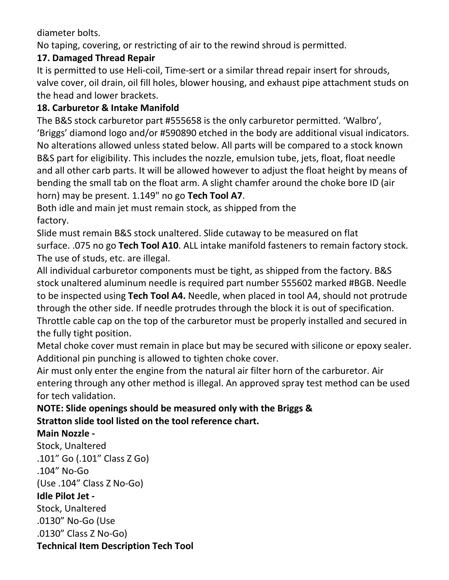diameter bolts.

No taping, covering, or restricting of air to the rewind shroud is permitted.

## **17. Damaged Thread Repair**

It is permitted to use Heli-coil, Time-sert or a similar thread repair insert for shrouds, valve cover, oil drain, oil fill holes, blower housing, and exhaust pipe attachment studs on the head and lower brackets.

## **18. Carburetor & Intake Manifold**

The B&S stock carburetor part #555658 is the only carburetor permitted. 'Walbro', 'Briggs' diamond logo and/or #590890 etched in the body are additional visual indicators. No alterations allowed unless stated below. All parts will be compared to a stock known B&S part for eligibility. This includes the nozzle, emulsion tube, jets, float, float needle and all other carb parts. It will be allowed however to adjust the float height by means of bending the small tab on the float arm. A slight chamfer around the choke bore ID (air horn) may be present. 1.149" no go **Tech Tool A7**.

Both idle and main jet must remain stock, as shipped from the factory.

Slide must remain B&S stock unaltered. Slide cutaway to be measured on flat surface. .075 no go **Tech Tool A10**. ALL intake manifold fasteners to remain factory stock. The use of studs, etc. are illegal.

All individual carburetor components must be tight, as shipped from the factory. B&S stock unaltered aluminum needle is required part number 555602 marked #BGB. Needle to be inspected using **Tech Tool A4.** Needle, when placed in tool A4, should not protrude through the other side. If needle protrudes through the block it is out of specification. Throttle cable cap on the top of the carburetor must be properly installed and secured in the fully tight position.

Metal choke cover must remain in place but may be secured with silicone or epoxy sealer. Additional pin punching is allowed to tighten choke cover.

Air must only enter the engine from the natural air filter horn of the carburetor. Air entering through any other method is illegal. An approved spray test method can be used for tech validation.

## **NOTE: Slide openings should be measured only with the Briggs & Stratton slide tool listed on the tool reference chart.**

## **Main Nozzle -**

Stock, Unaltered .101" Go (.101" Class Z Go) .104" No-Go (Use .104" Class Z No-Go) **Idle Pilot Jet -** Stock, Unaltered .0130" No-Go (Use .0130" Class Z No-Go)

**Technical Item Description Tech Tool**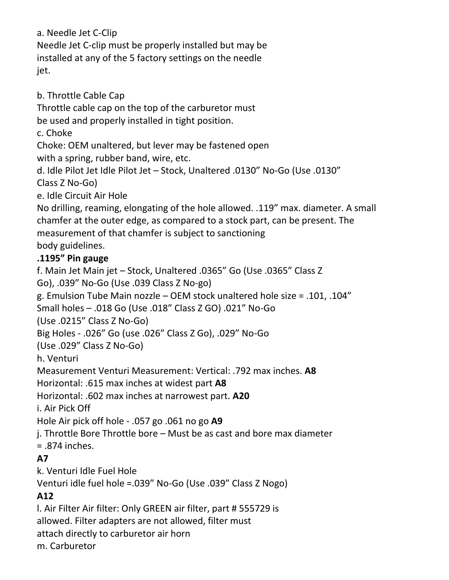a. Needle Jet C-Clip Needle Jet C-clip must be properly installed but may be installed at any of the 5 factory settings on the needle jet.

b. Throttle Cable Cap

Throttle cable cap on the top of the carburetor must

be used and properly installed in tight position.

c. Choke

Choke: OEM unaltered, but lever may be fastened open

with a spring, rubber band, wire, etc.

d. Idle Pilot Jet Idle Pilot Jet – Stock, Unaltered .0130" No-Go (Use .0130" Class Z No-Go)

e. Idle Circuit Air Hole

No drilling, reaming, elongating of the hole allowed. .119" max. diameter. A small chamfer at the outer edge, as compared to a stock part, can be present. The measurement of that chamfer is subject to sanctioning body guidelines.

## **.1195" Pin gauge**

f. Main Jet Main jet – Stock, Unaltered .0365" Go (Use .0365" Class Z

Go), .039" No-Go (Use .039 Class Z No-go)

g. Emulsion Tube Main nozzle – OEM stock unaltered hole size = .101, .104"

Small holes – .018 Go (Use .018" Class Z GO) .021" No-Go

(Use .0215" Class Z No-Go)

Big Holes - .026" Go (use .026" Class Z Go), .029" No-Go

(Use .029" Class Z No-Go)

h. Venturi

Measurement Venturi Measurement: Vertical: .792 max inches. **A8** 

Horizontal: .615 max inches at widest part **A8** 

Horizontal: .602 max inches at narrowest part. **A20** 

i. Air Pick Off

Hole Air pick off hole - .057 go .061 no go **A9** 

j. Throttle Bore Throttle bore – Must be as cast and bore max diameter

= .874 inches.

## **A7**

k. Venturi Idle Fuel Hole

Venturi idle fuel hole =.039" No-Go (Use .039" Class Z Nogo)

## **A12**

l. Air Filter Air filter: Only GREEN air filter, part # 555729 is allowed. Filter adapters are not allowed, filter must attach directly to carburetor air horn m. Carburetor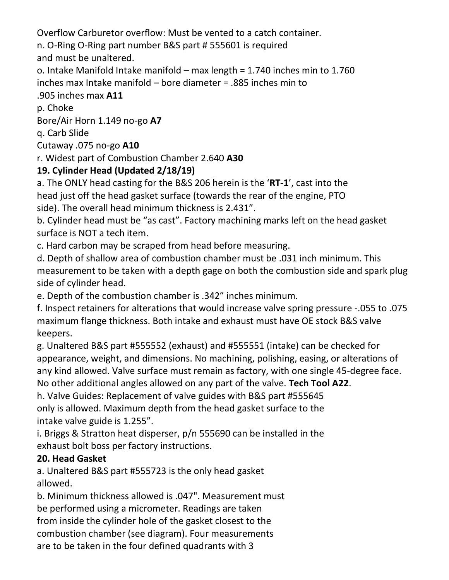Overflow Carburetor overflow: Must be vented to a catch container.

n. O-Ring O-Ring part number B&S part # 555601 is required

and must be unaltered.

o. Intake Manifold Intake manifold – max length = 1.740 inches min to 1.760 inches max Intake manifold – bore diameter = .885 inches min to

## .905 inches max **A11**

p. Choke

Bore/Air Horn 1.149 no-go **A7** 

q. Carb Slide

Cutaway .075 no-go **A10** 

r. Widest part of Combustion Chamber 2.640 **A30** 

## **19. Cylinder Head (Updated 2/18/19)**

a. The ONLY head casting for the B&S 206 herein is the '**RT-1**', cast into the head just off the head gasket surface (towards the rear of the engine, PTO side). The overall head minimum thickness is 2.431".

b. Cylinder head must be "as cast". Factory machining marks left on the head gasket surface is NOT a tech item.

c. Hard carbon may be scraped from head before measuring.

d. Depth of shallow area of combustion chamber must be .031 inch minimum. This measurement to be taken with a depth gage on both the combustion side and spark plug side of cylinder head.

e. Depth of the combustion chamber is .342" inches minimum.

f. Inspect retainers for alterations that would increase valve spring pressure -.055 to .075 maximum flange thickness. Both intake and exhaust must have OE stock B&S valve keepers.

g. Unaltered B&S part #555552 (exhaust) and #555551 (intake) can be checked for appearance, weight, and dimensions. No machining, polishing, easing, or alterations of any kind allowed. Valve surface must remain as factory, with one single 45-degree face. No other additional angles allowed on any part of the valve. **Tech Tool A22**.

h. Valve Guides: Replacement of valve guides with B&S part #555645 only is allowed. Maximum depth from the head gasket surface to the intake valve guide is 1.255".

i. Briggs & Stratton heat disperser, p/n 555690 can be installed in the exhaust bolt boss per factory instructions.

## **20. Head Gasket**

a. Unaltered B&S part #555723 is the only head gasket allowed.

b. Minimum thickness allowed is .047". Measurement must be performed using a micrometer. Readings are taken from inside the cylinder hole of the gasket closest to the combustion chamber (see diagram). Four measurements are to be taken in the four defined quadrants with 3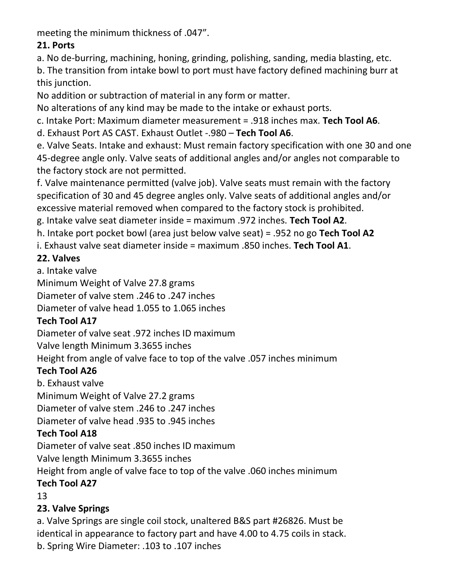meeting the minimum thickness of .047".

## **21. Ports**

a. No de-burring, machining, honing, grinding, polishing, sanding, media blasting, etc.

b. The transition from intake bowl to port must have factory defined machining burr at this junction.

No addition or subtraction of material in any form or matter.

No alterations of any kind may be made to the intake or exhaust ports.

c. Intake Port: Maximum diameter measurement = .918 inches max. **Tech Tool A6**.

d. Exhaust Port AS CAST. Exhaust Outlet -.980 – **Tech Tool A6**.

e. Valve Seats. Intake and exhaust: Must remain factory specification with one 30 and one 45-degree angle only. Valve seats of additional angles and/or angles not comparable to the factory stock are not permitted.

f. Valve maintenance permitted (valve job). Valve seats must remain with the factory specification of 30 and 45 degree angles only. Valve seats of additional angles and/or excessive material removed when compared to the factory stock is prohibited.

g. Intake valve seat diameter inside = maximum .972 inches. **Tech Tool A2**.

h. Intake port pocket bowl (area just below valve seat) = .952 no go **Tech Tool A2** 

i. Exhaust valve seat diameter inside = maximum .850 inches. **Tech Tool A1**.

## **22. Valves**

a. Intake valve

Minimum Weight of Valve 27.8 grams

Diameter of valve stem .246 to .247 inches

Diameter of valve head 1.055 to 1.065 inches

## **Tech Tool A17**

Diameter of valve seat .972 inches ID maximum

Valve length Minimum 3.3655 inches

Height from angle of valve face to top of the valve .057 inches minimum

## **Tech Tool A26**

b. Exhaust valve Minimum Weight of Valve 27.2 grams Diameter of valve stem .246 to .247 inches Diameter of valve head .935 to .945 inches

## **Tech Tool A18**

Diameter of valve seat .850 inches ID maximum

Valve length Minimum 3.3655 inches

Height from angle of valve face to top of the valve .060 inches minimum

## **Tech Tool A27**

13

## **23. Valve Springs**

a. Valve Springs are single coil stock, unaltered B&S part #26826. Must be identical in appearance to factory part and have 4.00 to 4.75 coils in stack. b. Spring Wire Diameter: .103 to .107 inches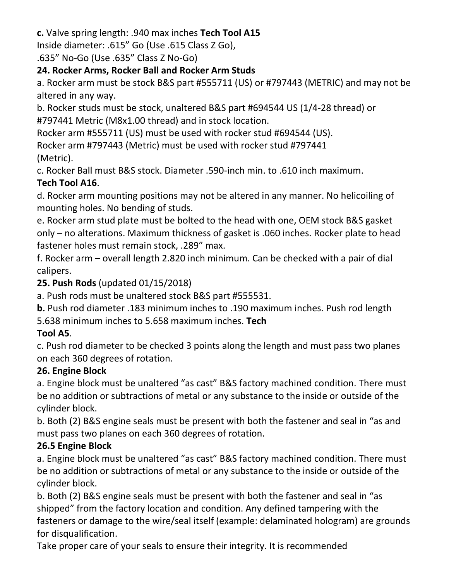**c.** Valve spring length: .940 max inches **Tech Tool A15**  Inside diameter: .615" Go (Use .615 Class Z Go),

.635" No-Go (Use .635" Class Z No-Go)

## **24. Rocker Arms, Rocker Ball and Rocker Arm Studs**

a. Rocker arm must be stock B&S part #555711 (US) or #797443 (METRIC) and may not be altered in any way.

b. Rocker studs must be stock, unaltered B&S part #694544 US (1/4-28 thread) or #797441 Metric (M8x1.00 thread) and in stock location.

Rocker arm #555711 (US) must be used with rocker stud #694544 (US).

Rocker arm #797443 (Metric) must be used with rocker stud #797441 (Metric).

c. Rocker Ball must B&S stock. Diameter .590-inch min. to .610 inch maximum. **Tech Tool A16**.

d. Rocker arm mounting positions may not be altered in any manner. No helicoiling of mounting holes. No bending of studs.

e. Rocker arm stud plate must be bolted to the head with one, OEM stock B&S gasket only – no alterations. Maximum thickness of gasket is .060 inches. Rocker plate to head fastener holes must remain stock, .289" max.

f. Rocker arm – overall length 2.820 inch minimum. Can be checked with a pair of dial calipers.

## **25. Push Rods** (updated 01/15/2018)

a. Push rods must be unaltered stock B&S part #555531.

**b.** Push rod diameter .183 minimum inches to .190 maximum inches. Push rod length 5.638 minimum inches to 5.658 maximum inches. **Tech** 

## **Tool A5**.

c. Push rod diameter to be checked 3 points along the length and must pass two planes on each 360 degrees of rotation.

## **26. Engine Block**

a. Engine block must be unaltered "as cast" B&S factory machined condition. There must be no addition or subtractions of metal or any substance to the inside or outside of the cylinder block.

b. Both (2) B&S engine seals must be present with both the fastener and seal in "as and must pass two planes on each 360 degrees of rotation.

## **26.5 Engine Block**

a. Engine block must be unaltered "as cast" B&S factory machined condition. There must be no addition or subtractions of metal or any substance to the inside or outside of the cylinder block.

b. Both (2) B&S engine seals must be present with both the fastener and seal in "as shipped" from the factory location and condition. Any defined tampering with the fasteners or damage to the wire/seal itself (example: delaminated hologram) are grounds for disqualification.

Take proper care of your seals to ensure their integrity. It is recommended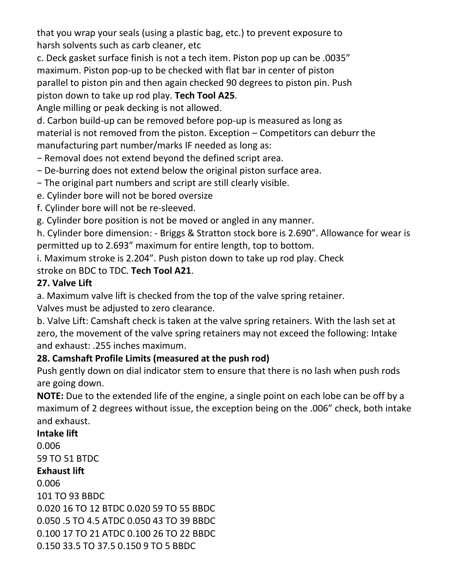that you wrap your seals (using a plastic bag, etc.) to prevent exposure to harsh solvents such as carb cleaner, etc

c. Deck gasket surface finish is not a tech item. Piston pop up can be .0035" maximum. Piston pop-up to be checked with flat bar in center of piston parallel to piston pin and then again checked 90 degrees to piston pin. Push piston down to take up rod play. **Tech Tool A25**.

Angle milling or peak decking is not allowed.

d. Carbon build-up can be removed before pop-up is measured as long as material is not removed from the piston. Exception – Competitors can deburr the manufacturing part number/marks IF needed as long as:

- − Removal does not extend beyond the defined script area.
- − De-burring does not extend below the original piston surface area.
- − The original part numbers and script are still clearly visible.
- e. Cylinder bore will not be bored oversize
- f. Cylinder bore will not be re-sleeved.
- g. Cylinder bore position is not be moved or angled in any manner.

h. Cylinder bore dimension: - Briggs & Stratton stock bore is 2.690". Allowance for wear is permitted up to 2.693" maximum for entire length, top to bottom.

i. Maximum stroke is 2.204". Push piston down to take up rod play. Check stroke on BDC to TDC. **Tech Tool A21**.

## **27. Valve Lift**

a. Maximum valve lift is checked from the top of the valve spring retainer.

Valves must be adjusted to zero clearance.

b. Valve Lift: Camshaft check is taken at the valve spring retainers. With the lash set at zero, the movement of the valve spring retainers may not exceed the following: Intake and exhaust: .255 inches maximum.

## **28. Camshaft Profile Limits (measured at the push rod)**

Push gently down on dial indicator stem to ensure that there is no lash when push rods are going down.

**NOTE:** Due to the extended life of the engine, a single point on each lobe can be off by a maximum of 2 degrees without issue, the exception being on the .006" check, both intake and exhaust.

### **Intake lift**  0.006 59 TO 51 BTDC **Exhaust lift**  0.006 101 TO 93 BBDC 0.020 16 TO 12 BTDC 0.020 59 TO 55 BBDC 0.050 .5 TO 4.5 ATDC 0.050 43 TO 39 BBDC 0.100 17 TO 21 ATDC 0.100 26 TO 22 BBDC 0.150 33.5 TO 37.5 0.150 9 TO 5 BBDC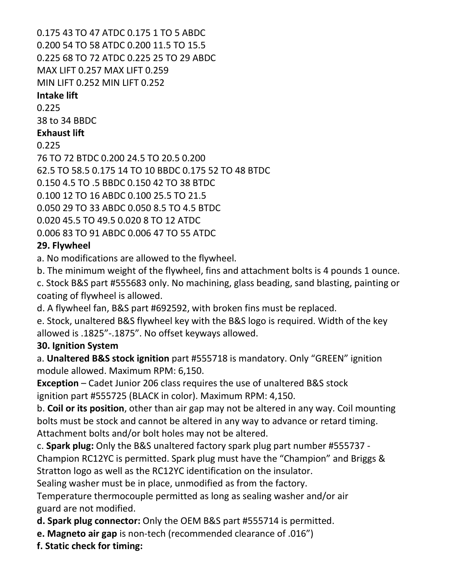0.175 43 TO 47 ATDC 0.175 1 TO 5 ABDC 0.200 54 TO 58 ATDC 0.200 11.5 TO 15.5 0.225 68 TO 72 ATDC 0.225 25 TO 29 ABDC MAX LIFT 0.257 MAX LIFT 0.259 MIN LIFT 0.252 MIN LIFT 0.252

#### **Intake lift**

0.225

38 to 34 BBDC

#### **Exhaust lift**

0.225

76 TO 72 BTDC 0.200 24.5 TO 20.5 0.200 62.5 TO 58.5 0.175 14 TO 10 BBDC 0.175 52 TO 48 BTDC 0.150 4.5 TO .5 BBDC 0.150 42 TO 38 BTDC 0.100 12 TO 16 ABDC 0.100 25.5 TO 21.5 0.050 29 TO 33 ABDC 0.050 8.5 TO 4.5 BTDC 0.020 45.5 TO 49.5 0.020 8 TO 12 ATDC 0.006 83 TO 91 ABDC 0.006 47 TO 55 ATDC

## **29. Flywheel**

a. No modifications are allowed to the flywheel.

b. The minimum weight of the flywheel, fins and attachment bolts is 4 pounds 1 ounce.

c. Stock B&S part #555683 only. No machining, glass beading, sand blasting, painting or coating of flywheel is allowed.

d. A flywheel fan, B&S part #692592, with broken fins must be replaced.

e. Stock, unaltered B&S flywheel key with the B&S logo is required. Width of the key allowed is .1825"-.1875". No offset keyways allowed.

## **30. Ignition System**

a. **Unaltered B&S stock ignition** part #555718 is mandatory. Only "GREEN" ignition module allowed. Maximum RPM: 6,150.

**Exception** – Cadet Junior 206 class requires the use of unaltered B&S stock ignition part #555725 (BLACK in color). Maximum RPM: 4,150.

b. **Coil or its position**, other than air gap may not be altered in any way. Coil mounting bolts must be stock and cannot be altered in any way to advance or retard timing. Attachment bolts and/or bolt holes may not be altered.

c. **Spark plug:** Only the B&S unaltered factory spark plug part number #555737 -

Champion RC12YC is permitted. Spark plug must have the "Champion" and Briggs & Stratton logo as well as the RC12YC identification on the insulator.

Sealing washer must be in place, unmodified as from the factory.

Temperature thermocouple permitted as long as sealing washer and/or air guard are not modified.

**d. Spark plug connector:** Only the OEM B&S part #555714 is permitted.

- **e. Magneto air gap** is non-tech (recommended clearance of .016")
- **f. Static check for timing:**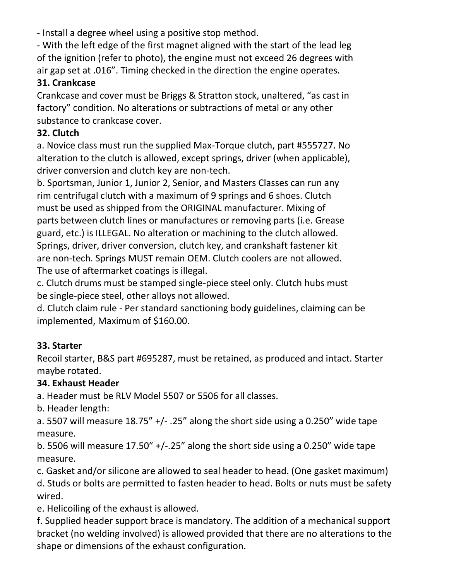- Install a degree wheel using a positive stop method.

- With the left edge of the first magnet aligned with the start of the lead leg of the ignition (refer to photo), the engine must not exceed 26 degrees with air gap set at .016". Timing checked in the direction the engine operates.

### **31. Crankcase**

Crankcase and cover must be Briggs & Stratton stock, unaltered, "as cast in factory" condition. No alterations or subtractions of metal or any other substance to crankcase cover.

## **32. Clutch**

a. Novice class must run the supplied Max-Torque clutch, part #555727. No alteration to the clutch is allowed, except springs, driver (when applicable), driver conversion and clutch key are non-tech.

b. Sportsman, Junior 1, Junior 2, Senior, and Masters Classes can run any rim centrifugal clutch with a maximum of 9 springs and 6 shoes. Clutch must be used as shipped from the ORIGINAL manufacturer. Mixing of parts between clutch lines or manufactures or removing parts (i.e. Grease guard, etc.) is ILLEGAL. No alteration or machining to the clutch allowed. Springs, driver, driver conversion, clutch key, and crankshaft fastener kit are non-tech. Springs MUST remain OEM. Clutch coolers are not allowed. The use of aftermarket coatings is illegal.

c. Clutch drums must be stamped single-piece steel only. Clutch hubs must be single-piece steel, other alloys not allowed.

d. Clutch claim rule - Per standard sanctioning body guidelines, claiming can be implemented, Maximum of \$160.00.

## **33. Starter**

Recoil starter, B&S part #695287, must be retained, as produced and intact. Starter maybe rotated.

## **34. Exhaust Header**

a. Header must be RLV Model 5507 or 5506 for all classes.

b. Header length:

a. 5507 will measure  $18.75''$  +/-  $.25''$  along the short side using a 0.250" wide tape measure.

b. 5506 will measure  $17.50''$  +/-.25" along the short side using a 0.250" wide tape measure.

c. Gasket and/or silicone are allowed to seal header to head. (One gasket maximum) d. Studs or bolts are permitted to fasten header to head. Bolts or nuts must be safety wired.

e. Helicoiling of the exhaust is allowed.

f. Supplied header support brace is mandatory. The addition of a mechanical support bracket (no welding involved) is allowed provided that there are no alterations to the shape or dimensions of the exhaust configuration.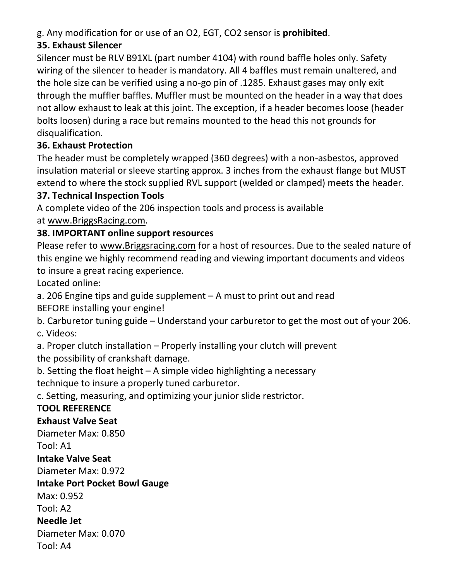g. Any modification for or use of an O2, EGT, CO2 sensor is **prohibited**.

## **35. Exhaust Silencer**

Silencer must be RLV B91XL (part number 4104) with round baffle holes only. Safety wiring of the silencer to header is mandatory. All 4 baffles must remain unaltered, and the hole size can be verified using a no-go pin of .1285. Exhaust gases may only exit through the muffler baffles. Muffler must be mounted on the header in a way that does not allow exhaust to leak at this joint. The exception, if a header becomes loose (header bolts loosen) during a race but remains mounted to the head this not grounds for disqualification.

## **36. Exhaust Protection**

The header must be completely wrapped (360 degrees) with a non-asbestos, approved insulation material or sleeve starting approx. 3 inches from the exhaust flange but MUST extend to where the stock supplied RVL support (welded or clamped) meets the header.

### **37. Technical Inspection Tools**

A complete video of the 206 inspection tools and process is available at [www.BriggsRacing.com.](file:///C:/Users/kshepard/Downloads/www.BriggsRacing.com)

## **38. IMPORTANT online support resources**

Please refer to [www.Briggsracing.com](file:///C:/Users/kshepard/Downloads/www.Briggsracing.com) for a host of resources. Due to the sealed nature of this engine we highly recommend reading and viewing important documents and videos to insure a great racing experience.

Located online:

a. 206 Engine tips and guide supplement – A must to print out and read

BEFORE installing your engine!

b. Carburetor tuning guide – Understand your carburetor to get the most out of your 206. c. Videos:

a. Proper clutch installation – Properly installing your clutch will prevent the possibility of crankshaft damage.

b. Setting the float height – A simple video highlighting a necessary technique to insure a properly tuned carburetor.

c. Setting, measuring, and optimizing your junior slide restrictor.

## **TOOL REFERENCE**

#### **Exhaust Valve Seat**

Diameter Max: 0.850

Tool: A1

#### **Intake Valve Seat**

Diameter Max: 0.972

#### **Intake Port Pocket Bowl Gauge**

Max: 0.952

Tool: A2

#### **Needle Jet**

Diameter Max: 0.070

Tool: A4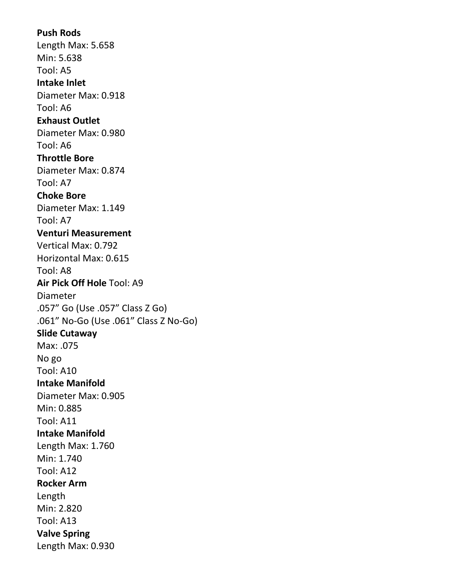**Push Rods**  Length Max: 5.658 Min: 5.638 Tool: A5 **Intake Inlet**  Diameter Max: 0.918 Tool: A6 **Exhaust Outlet**  Diameter Max: 0.980 Tool: A6 **Throttle Bore**  Diameter Max: 0.874 Tool: A7 **Choke Bore**  Diameter Max: 1.149 Tool: A7 **Venturi Measurement**  Vertical Max: 0.792 Horizontal Max: 0.615 Tool: A8 **Air Pick Off Hole** Tool: A9 Diameter .057" Go (Use .057" Class Z Go) .061" No-Go (Use .061" Class Z No-Go) **Slide Cutaway**  Max: .075 No go Tool: A10 **Intake Manifold**  Diameter Max: 0.905 Min: 0.885 Tool: A11 **Intake Manifold**  Length Max: 1.760 Min: 1.740 Tool: A12 **Rocker Arm**  Length Min: 2.820 Tool: A13 **Valve Spring**  Length Max: 0.930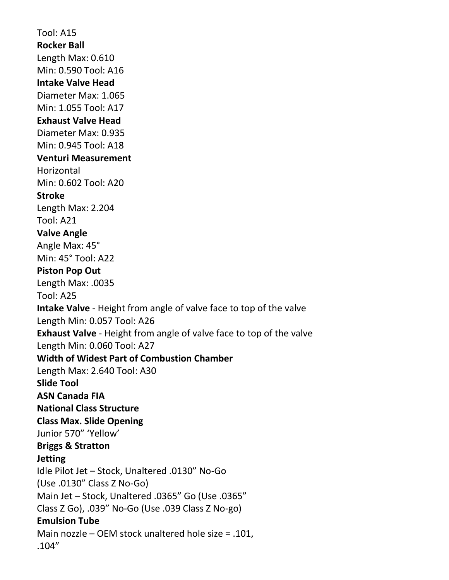Tool: A15 **Rocker Ball**  Length Max: 0.610 Min: 0.590 Tool: A16 **Intake Valve Head**  Diameter Max: 1.065 Min: 1.055 Tool: A17 **Exhaust Valve Head**  Diameter Max: 0.935 Min: 0.945 Tool: A18 **Venturi Measurement Horizontal** Min: 0.602 Tool: A20 **Stroke**  Length Max: 2.204 Tool: A21 **Valve Angle**  Angle Max: 45° Min: 45° Tool: A22 **Piston Pop Out**  Length Max: .0035 Tool: A25 **Intake Valve** - Height from angle of valve face to top of the valve Length Min: 0.057 Tool: A26 **Exhaust Valve** - Height from angle of valve face to top of the valve Length Min: 0.060 Tool: A27 **Width of Widest Part of Combustion Chamber**  Length Max: 2.640 Tool: A30 **Slide Tool ASN Canada FIA National Class Structure Class Max. Slide Opening**  Junior 570" 'Yellow' **Briggs & Stratton Jetting**  Idle Pilot Jet – Stock, Unaltered .0130" No-Go (Use .0130" Class Z No-Go) Main Jet – Stock, Unaltered .0365" Go (Use .0365" Class Z Go), .039" No-Go (Use .039 Class Z No-go) **Emulsion Tube**  Main nozzle – OEM stock unaltered hole size = .101, .104"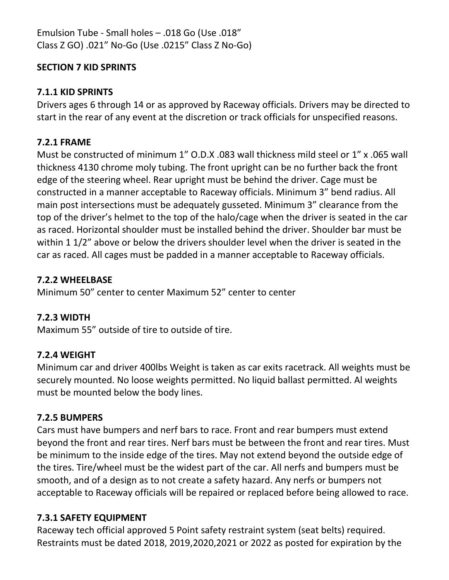Emulsion Tube - Small holes – .018 Go (Use .018" Class Z GO) .021" No-Go (Use .0215" Class Z No-Go)

#### **SECTION 7 KID SPRINTS**

#### **7.1.1 KID SPRINTS**

Drivers ages 6 through 14 or as approved by Raceway officials. Drivers may be directed to start in the rear of any event at the discretion or track officials for unspecified reasons.

#### **7.2.1 FRAME**

Must be constructed of minimum 1" O.D.X .083 wall thickness mild steel or 1" x .065 wall thickness 4130 chrome moly tubing. The front upright can be no further back the front edge of the steering wheel. Rear upright must be behind the driver. Cage must be constructed in a manner acceptable to Raceway officials. Minimum 3" bend radius. All main post intersections must be adequately gusseted. Minimum 3" clearance from the top of the driver's helmet to the top of the halo/cage when the driver is seated in the car as raced. Horizontal shoulder must be installed behind the driver. Shoulder bar must be within 1 1/2" above or below the drivers shoulder level when the driver is seated in the car as raced. All cages must be padded in a manner acceptable to Raceway officials.

#### **7.2.2 WHEELBASE**

Minimum 50" center to center Maximum 52" center to center

#### **7.2.3 WIDTH**

Maximum 55" outside of tire to outside of tire.

#### **7.2.4 WEIGHT**

Minimum car and driver 400lbs Weight is taken as car exits racetrack. All weights must be securely mounted. No loose weights permitted. No liquid ballast permitted. Al weights must be mounted below the body lines.

#### **7.2.5 BUMPERS**

Cars must have bumpers and nerf bars to race. Front and rear bumpers must extend beyond the front and rear tires. Nerf bars must be between the front and rear tires. Must be minimum to the inside edge of the tires. May not extend beyond the outside edge of the tires. Tire/wheel must be the widest part of the car. All nerfs and bumpers must be smooth, and of a design as to not create a safety hazard. Any nerfs or bumpers not acceptable to Raceway officials will be repaired or replaced before being allowed to race.

#### **7.3.1 SAFETY EQUIPMENT**

Raceway tech official approved 5 Point safety restraint system (seat belts) required. Restraints must be dated 2018, 2019,2020,2021 or 2022 as posted for expiration by the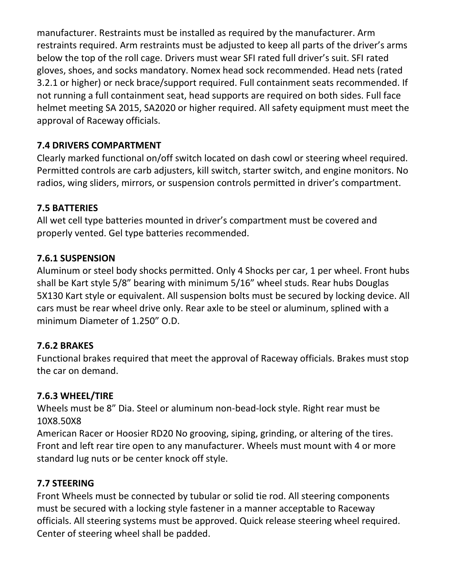manufacturer. Restraints must be installed as required by the manufacturer. Arm restraints required. Arm restraints must be adjusted to keep all parts of the driver's arms below the top of the roll cage. Drivers must wear SFI rated full driver's suit. SFI rated gloves, shoes, and socks mandatory. Nomex head sock recommended. Head nets (rated 3.2.1 or higher) or neck brace/support required. Full containment seats recommended. If not running a full containment seat, head supports are required on both sides. Full face helmet meeting SA 2015, SA2020 or higher required. All safety equipment must meet the approval of Raceway officials.

## **7.4 DRIVERS COMPARTMENT**

Clearly marked functional on/off switch located on dash cowl or steering wheel required. Permitted controls are carb adjusters, kill switch, starter switch, and engine monitors. No radios, wing sliders, mirrors, or suspension controls permitted in driver's compartment.

### **7.5 BATTERIES**

All wet cell type batteries mounted in driver's compartment must be covered and properly vented. Gel type batteries recommended.

#### **7.6.1 SUSPENSION**

Aluminum or steel body shocks permitted. Only 4 Shocks per car, 1 per wheel. Front hubs shall be Kart style 5/8" bearing with minimum 5/16" wheel studs. Rear hubs Douglas 5X130 Kart style or equivalent. All suspension bolts must be secured by locking device. All cars must be rear wheel drive only. Rear axle to be steel or aluminum, splined with a minimum Diameter of 1.250" O.D.

## **7.6.2 BRAKES**

Functional brakes required that meet the approval of Raceway officials. Brakes must stop the car on demand.

#### **7.6.3 WHEEL/TIRE**

Wheels must be 8" Dia. Steel or aluminum non-bead-lock style. Right rear must be 10X8.50X8

American Racer or Hoosier RD20 No grooving, siping, grinding, or altering of the tires. Front and left rear tire open to any manufacturer. Wheels must mount with 4 or more standard lug nuts or be center knock off style.

#### **7.7 STEERING**

Front Wheels must be connected by tubular or solid tie rod. All steering components must be secured with a locking style fastener in a manner acceptable to Raceway officials. All steering systems must be approved. Quick release steering wheel required. Center of steering wheel shall be padded.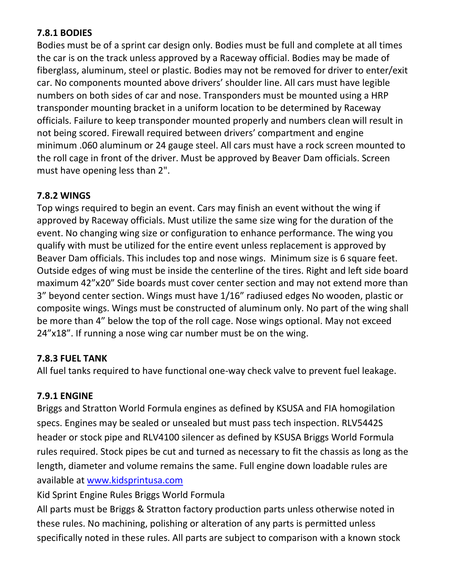#### **7.8.1 BODIES**

Bodies must be of a sprint car design only. Bodies must be full and complete at all times the car is on the track unless approved by a Raceway official. Bodies may be made of fiberglass, aluminum, steel or plastic. Bodies may not be removed for driver to enter/exit car. No components mounted above drivers' shoulder line. All cars must have legible numbers on both sides of car and nose. Transponders must be mounted using a HRP transponder mounting bracket in a uniform location to be determined by Raceway officials. Failure to keep transponder mounted properly and numbers clean will result in not being scored. Firewall required between drivers' compartment and engine minimum .060 aluminum or 24 gauge steel. All cars must have a rock screen mounted to the roll cage in front of the driver. Must be approved by Beaver Dam officials. Screen must have opening less than 2".

#### **7.8.2 WINGS**

Top wings required to begin an event. Cars may finish an event without the wing if approved by Raceway officials. Must utilize the same size wing for the duration of the event. No changing wing size or configuration to enhance performance. The wing you qualify with must be utilized for the entire event unless replacement is approved by Beaver Dam officials. This includes top and nose wings. Minimum size is 6 square feet. Outside edges of wing must be inside the centerline of the tires. Right and left side board maximum 42"x20" Side boards must cover center section and may not extend more than 3" beyond center section. Wings must have 1/16" radiused edges No wooden, plastic or composite wings. Wings must be constructed of aluminum only. No part of the wing shall be more than 4" below the top of the roll cage. Nose wings optional. May not exceed 24"x18". If running a nose wing car number must be on the wing.

#### **7.8.3 FUEL TANK**

All fuel tanks required to have functional one-way check valve to prevent fuel leakage.

#### **7.9.1 ENGINE**

Briggs and Stratton World Formula engines as defined by KSUSA and FIA homogilation specs. Engines may be sealed or unsealed but must pass tech inspection. RLV5442S header or stock pipe and RLV4100 silencer as defined by KSUSA Briggs World Formula rules required. Stock pipes be cut and turned as necessary to fit the chassis as long as the length, diameter and volume remains the same. Full engine down loadable rules are available at [www.kidsprintusa.com](file:///C:/Users/kshepard/Downloads/www.kidsprintusa.com)

Kid Sprint Engine Rules Briggs World Formula

All parts must be Briggs & Stratton factory production parts unless otherwise noted in these rules. No machining, polishing or alteration of any parts is permitted unless specifically noted in these rules. All parts are subject to comparison with a known stock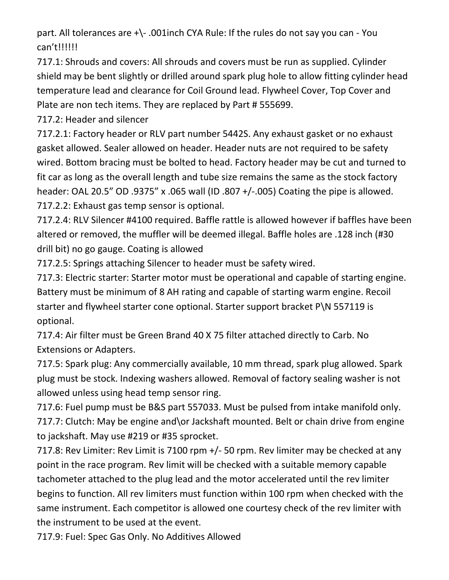part. All tolerances are +\- .001inch CYA Rule: If the rules do not say you can - You can't!!!!!!

717.1: Shrouds and covers: All shrouds and covers must be run as supplied. Cylinder shield may be bent slightly or drilled around spark plug hole to allow fitting cylinder head temperature lead and clearance for Coil Ground lead. Flywheel Cover, Top Cover and Plate are non tech items. They are replaced by Part # 555699.

717.2: Header and silencer

717.2.1: Factory header or RLV part number 5442S. Any exhaust gasket or no exhaust gasket allowed. Sealer allowed on header. Header nuts are not required to be safety wired. Bottom bracing must be bolted to head. Factory header may be cut and turned to fit car as long as the overall length and tube size remains the same as the stock factory header: OAL 20.5" OD .9375" x .065 wall (ID .807 +/-.005) Coating the pipe is allowed. 717.2.2: Exhaust gas temp sensor is optional.

717.2.4: RLV Silencer #4100 required. Baffle rattle is allowed however if baffles have been altered or removed, the muffler will be deemed illegal. Baffle holes are .128 inch (#30 drill bit) no go gauge. Coating is allowed

717.2.5: Springs attaching Silencer to header must be safety wired.

717.3: Electric starter: Starter motor must be operational and capable of starting engine. Battery must be minimum of 8 AH rating and capable of starting warm engine. Recoil starter and flywheel starter cone optional. Starter support bracket P\N 557119 is optional.

717.4: Air filter must be Green Brand 40 X 75 filter attached directly to Carb. No Extensions or Adapters.

717.5: Spark plug: Any commercially available, 10 mm thread, spark plug allowed. Spark plug must be stock. Indexing washers allowed. Removal of factory sealing washer is not allowed unless using head temp sensor ring.

717.6: Fuel pump must be B&S part 557033. Must be pulsed from intake manifold only. 717.7: Clutch: May be engine and\or Jackshaft mounted. Belt or chain drive from engine to jackshaft. May use #219 or #35 sprocket.

717.8: Rev Limiter: Rev Limit is 7100 rpm +/- 50 rpm. Rev limiter may be checked at any point in the race program. Rev limit will be checked with a suitable memory capable tachometer attached to the plug lead and the motor accelerated until the rev limiter begins to function. All rev limiters must function within 100 rpm when checked with the same instrument. Each competitor is allowed one courtesy check of the rev limiter with the instrument to be used at the event.

717.9: Fuel: Spec Gas Only. No Additives Allowed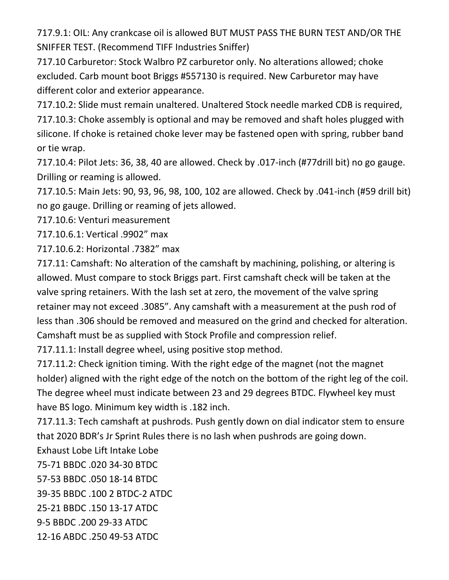717.9.1: OIL: Any crankcase oil is allowed BUT MUST PASS THE BURN TEST AND/OR THE SNIFFER TEST. (Recommend TIFF Industries Sniffer)

717.10 Carburetor: Stock Walbro PZ carburetor only. No alterations allowed; choke excluded. Carb mount boot Briggs #557130 is required. New Carburetor may have different color and exterior appearance.

717.10.2: Slide must remain unaltered. Unaltered Stock needle marked CDB is required, 717.10.3: Choke assembly is optional and may be removed and shaft holes plugged with silicone. If choke is retained choke lever may be fastened open with spring, rubber band or tie wrap.

717.10.4: Pilot Jets: 36, 38, 40 are allowed. Check by .017-inch (#77drill bit) no go gauge. Drilling or reaming is allowed.

717.10.5: Main Jets: 90, 93, 96, 98, 100, 102 are allowed. Check by .041-inch (#59 drill bit) no go gauge. Drilling or reaming of jets allowed.

717.10.6: Venturi measurement

717.10.6.1: Vertical .9902" max

717.10.6.2: Horizontal .7382" max

717.11: Camshaft: No alteration of the camshaft by machining, polishing, or altering is allowed. Must compare to stock Briggs part. First camshaft check will be taken at the valve spring retainers. With the lash set at zero, the movement of the valve spring retainer may not exceed .3085". Any camshaft with a measurement at the push rod of less than .306 should be removed and measured on the grind and checked for alteration. Camshaft must be as supplied with Stock Profile and compression relief.

717.11.1: Install degree wheel, using positive stop method.

717.11.2: Check ignition timing. With the right edge of the magnet (not the magnet holder) aligned with the right edge of the notch on the bottom of the right leg of the coil. The degree wheel must indicate between 23 and 29 degrees BTDC. Flywheel key must have BS logo. Minimum key width is .182 inch.

717.11.3: Tech camshaft at pushrods. Push gently down on dial indicator stem to ensure that 2020 BDR's Jr Sprint Rules there is no lash when pushrods are going down.

Exhaust Lobe Lift Intake Lobe

75-71 BBDC .020 34-30 BTDC

57-53 BBDC .050 18-14 BTDC

39-35 BBDC .100 2 BTDC-2 ATDC

25-21 BBDC .150 13-17 ATDC

9-5 BBDC .200 29-33 ATDC

12-16 ABDC .250 49-53 ATDC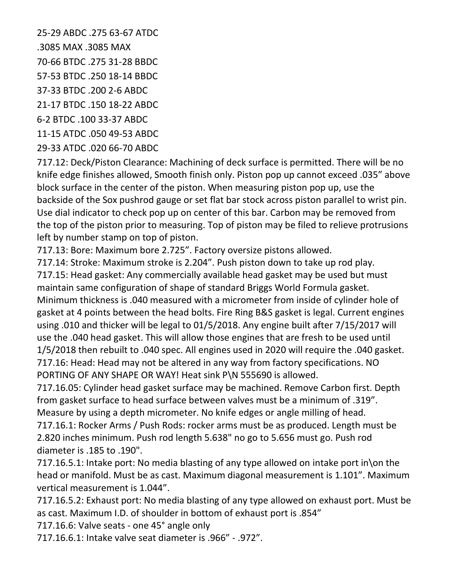25-29 ABDC .275 63-67 ATDC .3085 MAX .3085 MAX 70-66 BTDC .275 31-28 BBDC 57-53 BTDC .250 18-14 BBDC 37-33 BTDC .200 2-6 ABDC 21-17 BTDC .150 18-22 ABDC 6-2 BTDC .100 33-37 ABDC 11-15 ATDC .050 49-53 ABDC

29-33 ATDC .020 66-70 ABDC

717.12: Deck/Piston Clearance: Machining of deck surface is permitted. There will be no knife edge finishes allowed, Smooth finish only. Piston pop up cannot exceed .035" above block surface in the center of the piston. When measuring piston pop up, use the backside of the Sox pushrod gauge or set flat bar stock across piston parallel to wrist pin. Use dial indicator to check pop up on center of this bar. Carbon may be removed from the top of the piston prior to measuring. Top of piston may be filed to relieve protrusions left by number stamp on top of piston.

717.13: Bore: Maximum bore 2.725". Factory oversize pistons allowed.

717.14: Stroke: Maximum stroke is 2.204". Push piston down to take up rod play. 717.15: Head gasket: Any commercially available head gasket may be used but must maintain same configuration of shape of standard Briggs World Formula gasket. Minimum thickness is .040 measured with a micrometer from inside of cylinder hole of gasket at 4 points between the head bolts. Fire Ring B&S gasket is legal. Current engines using .010 and thicker will be legal to 01/5/2018. Any engine built after 7/15/2017 will use the .040 head gasket. This will allow those engines that are fresh to be used until 1/5/2018 then rebuilt to .040 spec. All engines used in 2020 will require the .040 gasket. 717.16: Head: Head may not be altered in any way from factory specifications. NO PORTING OF ANY SHAPE OR WAY! Heat sink P\N 555690 is allowed.

717.16.05: Cylinder head gasket surface may be machined. Remove Carbon first. Depth from gasket surface to head surface between valves must be a minimum of .319". Measure by using a depth micrometer. No knife edges or angle milling of head.

717.16.1: Rocker Arms / Push Rods: rocker arms must be as produced. Length must be 2.820 inches minimum. Push rod length 5.638" no go to 5.656 must go. Push rod diameter is .185 to .190".

717.16.5.1: Intake port: No media blasting of any type allowed on intake port in\on the head or manifold. Must be as cast. Maximum diagonal measurement is 1.101". Maximum vertical measurement is 1.044".

717.16.5.2: Exhaust port: No media blasting of any type allowed on exhaust port. Must be as cast. Maximum I.D. of shoulder in bottom of exhaust port is .854"

717.16.6: Valve seats - one 45° angle only

717.16.6.1: Intake valve seat diameter is .966" - .972".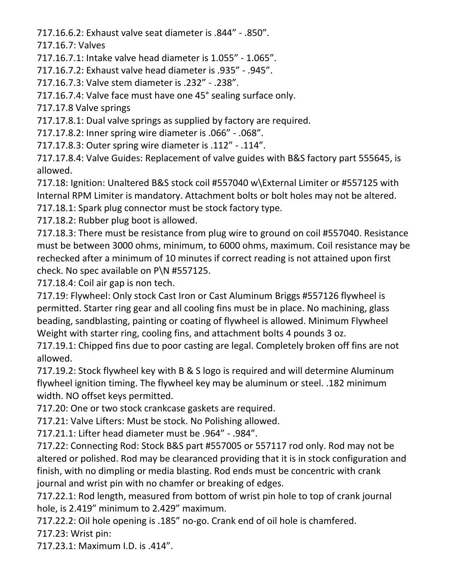717.16.6.2: Exhaust valve seat diameter is .844" - .850".

717.16.7: Valves

717.16.7.1: Intake valve head diameter is 1.055" - 1.065".

717.16.7.2: Exhaust valve head diameter is .935" - .945".

717.16.7.3: Valve stem diameter is .232" - .238".

717.16.7.4: Valve face must have one 45° sealing surface only.

717.17.8 Valve springs

717.17.8.1: Dual valve springs as supplied by factory are required.

717.17.8.2: Inner spring wire diameter is .066" - .068".

717.17.8.3: Outer spring wire diameter is .112" - .114".

717.17.8.4: Valve Guides: Replacement of valve guides with B&S factory part 555645, is allowed.

717.18: Ignition: Unaltered B&S stock coil #557040 w\External Limiter or #557125 with Internal RPM Limiter is mandatory. Attachment bolts or bolt holes may not be altered. 717.18.1: Spark plug connector must be stock factory type.

717.18.2: Rubber plug boot is allowed.

717.18.3: There must be resistance from plug wire to ground on coil #557040. Resistance must be between 3000 ohms, minimum, to 6000 ohms, maximum. Coil resistance may be rechecked after a minimum of 10 minutes if correct reading is not attained upon first check. No spec available on P\N #557125.

717.18.4: Coil air gap is non tech.

717.19: Flywheel: Only stock Cast Iron or Cast Aluminum Briggs #557126 flywheel is permitted. Starter ring gear and all cooling fins must be in place. No machining, glass beading, sandblasting, painting or coating of flywheel is allowed. Minimum Flywheel Weight with starter ring, cooling fins, and attachment bolts 4 pounds 3 oz.

717.19.1: Chipped fins due to poor casting are legal. Completely broken off fins are not allowed.

717.19.2: Stock flywheel key with B & S logo is required and will determine Aluminum flywheel ignition timing. The flywheel key may be aluminum or steel. .182 minimum width. NO offset keys permitted.

717.20: One or two stock crankcase gaskets are required.

717.21: Valve Lifters: Must be stock. No Polishing allowed.

717.21.1: Lifter head diameter must be .964" - .984".

717.22: Connecting Rod: Stock B&S part #557005 or 557117 rod only. Rod may not be altered or polished. Rod may be clearanced providing that it is in stock configuration and finish, with no dimpling or media blasting. Rod ends must be concentric with crank journal and wrist pin with no chamfer or breaking of edges.

717.22.1: Rod length, measured from bottom of wrist pin hole to top of crank journal hole, is 2.419" minimum to 2.429" maximum.

717.22.2: Oil hole opening is .185" no-go. Crank end of oil hole is chamfered. 717.23: Wrist pin:

717.23.1: Maximum I.D. is .414".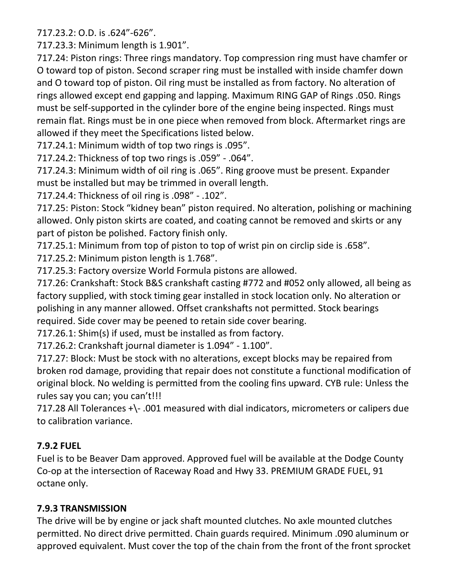717.23.2: O.D. is .624"-626".

717.23.3: Minimum length is 1.901".

717.24: Piston rings: Three rings mandatory. Top compression ring must have chamfer or O toward top of piston. Second scraper ring must be installed with inside chamfer down and O toward top of piston. Oil ring must be installed as from factory. No alteration of rings allowed except end gapping and lapping. Maximum RING GAP of Rings .050. Rings must be self-supported in the cylinder bore of the engine being inspected. Rings must remain flat. Rings must be in one piece when removed from block. Aftermarket rings are allowed if they meet the Specifications listed below.

717.24.1: Minimum width of top two rings is .095".

717.24.2: Thickness of top two rings is .059" - .064".

717.24.3: Minimum width of oil ring is .065". Ring groove must be present. Expander must be installed but may be trimmed in overall length.

717.24.4: Thickness of oil ring is .098" - .102".

717.25: Piston: Stock "kidney bean" piston required. No alteration, polishing or machining allowed. Only piston skirts are coated, and coating cannot be removed and skirts or any part of piston be polished. Factory finish only.

717.25.1: Minimum from top of piston to top of wrist pin on circlip side is .658".

717.25.2: Minimum piston length is 1.768".

717.25.3: Factory oversize World Formula pistons are allowed.

717.26: Crankshaft: Stock B&S crankshaft casting #772 and #052 only allowed, all being as factory supplied, with stock timing gear installed in stock location only. No alteration or polishing in any manner allowed. Offset crankshafts not permitted. Stock bearings required. Side cover may be peened to retain side cover bearing.

717.26.1: Shim(s) if used, must be installed as from factory.

717.26.2: Crankshaft journal diameter is 1.094" - 1.100".

717.27: Block: Must be stock with no alterations, except blocks may be repaired from broken rod damage, providing that repair does not constitute a functional modification of original block. No welding is permitted from the cooling fins upward. CYB rule: Unless the rules say you can; you can't!!!

717.28 All Tolerances +\- .001 measured with dial indicators, micrometers or calipers due to calibration variance.

## **7.9.2 FUEL**

Fuel is to be Beaver Dam approved. Approved fuel will be available at the Dodge County Co-op at the intersection of Raceway Road and Hwy 33. PREMIUM GRADE FUEL, 91 octane only.

## **7.9.3 TRANSMISSION**

The drive will be by engine or jack shaft mounted clutches. No axle mounted clutches permitted. No direct drive permitted. Chain guards required. Minimum .090 aluminum or approved equivalent. Must cover the top of the chain from the front of the front sprocket